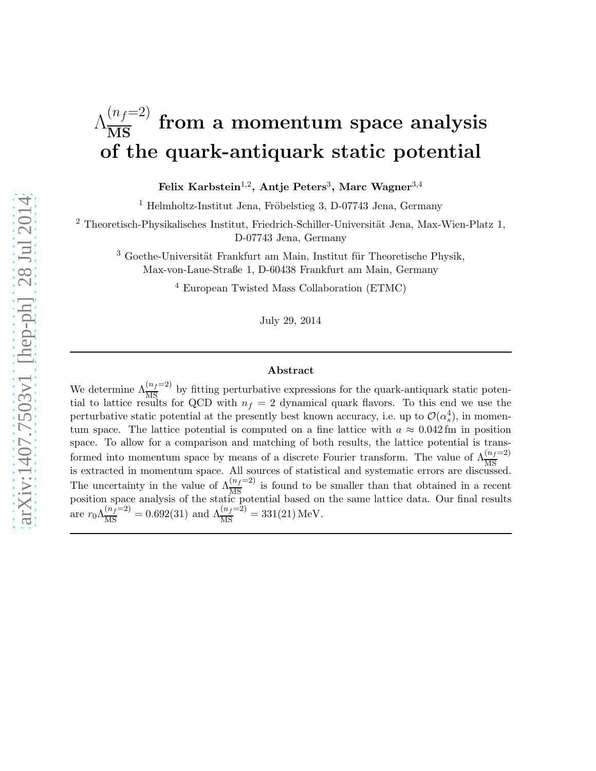# $\Lambda_{\overline{\mathrm{MS}}}^{(n_f=2)}$  from a momentum space analysis of the quark-antiquark static potential

Felix Karbstein $^{1,2}$ , Antje Peters $^3,$  Marc Wagner $^{3,4}$ 

 $1$  Helmholtz-Institut Jena, Fröbelstieg 3, D-07743 Jena, Germany

<sup>2</sup> Theoretisch-Physikalisches Institut, Friedrich-Schiller-Universität Jena, Max-Wien-Platz 1, D-07743 Jena, Germany

 $3$  Goethe-Universität Frankfurt am Main, Institut für Theoretische Physik, Max-von-Laue-Straße 1, D-60438 Frankfurt am Main, Germany

<sup>4</sup> European Twisted Mass Collaboration (ETMC)

July 29, 2014

#### Abstract

We determine  $\Lambda_{\overline{\text{MS}}}^{(n_f=2)}$  by fitting perturbative expressions for the quark-antiquark static potential to lattice results for QCD with  $n_f = 2$  dynamical quark flavors. To this end we use the perturbative static potential at the presently best known accuracy, i.e. up to  $\mathcal{O}(\alpha_s^4)$ , in momentum space. The lattice potential is computed on a fine lattice with  $a \approx 0.042$  fm in position space. To allow for a comparison and matching of both results, the lattice potential is transformed into momentum space by means of a discrete Fourier transform. The value of  $\Lambda_{\overline{\rm MS}}^{(n_f=2)}$ is extracted in momentum space. All sources of statistical and systematic errors are discussed. The uncertainty in the value of  $\Lambda_{\overline{MS}}^{(n_f=2)}$  is found to be smaller than that obtained in a recent position space analysis of the static potential based on the same lattice data. Our final results are  $r_0 \Lambda_{\overline{\rm MS}}^{(n_f=2)} = 0.692(31)$  and  $\Lambda_{\overline{\rm MS}}^{(n_f=2)} = 331(21)$  MeV.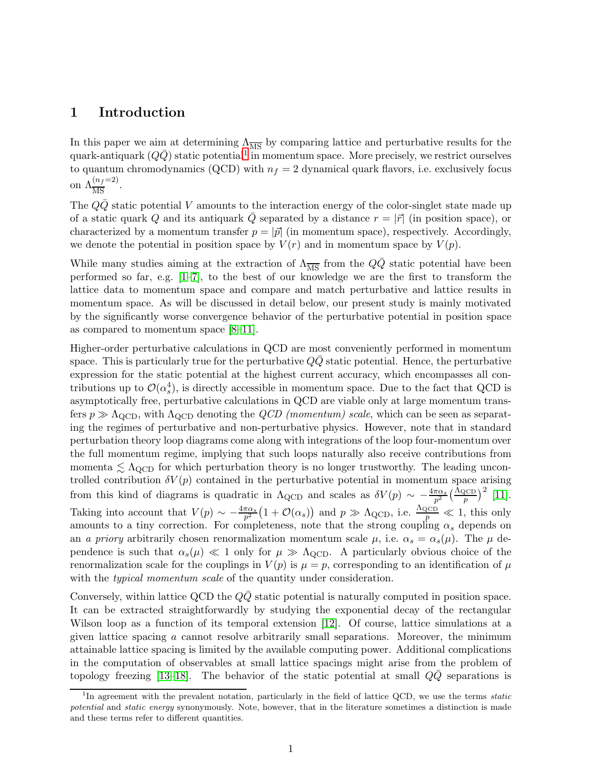## <span id="page-1-1"></span>1 Introduction

In this paper we aim at determining  $\Lambda_{\overline{MS}}$  by comparing lattice and perturbative results for the quark-antiquark  $(Q\bar{Q})$  static potential<sup>[1](#page-1-0)</sup> in momentum space. More precisely, we restrict ourselves to quantum chromodynamics (QCD) with  $n_f = 2$  dynamical quark flavors, i.e. exclusively focus on  $\Lambda_{\overline{\text{MS}}}^{(n_f=2)}$ .

The  $QQ$  static potential V amounts to the interaction energy of the color-singlet state made up of a static quark Q and its antiquark  $\overline{Q}$  separated by a distance  $r = |\vec{r}|$  (in position space), or characterized by a momentum transfer  $p = |\vec{p}|$  (in momentum space), respectively. Accordingly, we denote the potential in position space by  $V(r)$  and in momentum space by  $V(p)$ .

While many studies aiming at the extraction of  $\Lambda_{\overline{MS}}$  from the QQ static potential have been performed so far, e.g. [\[1](#page-23-0)[–7\]](#page-23-1), to the best of our knowledge we are the first to transform the lattice data to momentum space and compare and match perturbative and lattice results in momentum space. As will be discussed in detail below, our present study is mainly motivated by the significantly worse convergence behavior of the perturbative potential in position space as compared to momentum space [\[8](#page-23-2)[–11\]](#page-23-3).

Higher-order perturbative calculations in QCD are most conveniently performed in momentum space. This is particularly true for the perturbative  $QQ$  static potential. Hence, the perturbative expression for the static potential at the highest current accuracy, which encompasses all contributions up to  $\mathcal{O}(\alpha_s^4)$ , is directly accessible in momentum space. Due to the fact that QCD is asymptotically free, perturbative calculations in QCD are viable only at large momentum transfers  $p \gg \Lambda_{\rm QCD}$ , with  $\Lambda_{\rm QCD}$  denoting the  $QCD$  (momentum) scale, which can be seen as separating the regimes of perturbative and non-perturbative physics. However, note that in standard perturbation theory loop diagrams come along with integrations of the loop four-momentum over the full momentum regime, implying that such loops naturally also receive contributions from momenta  $\lesssim \Lambda_{\rm QCD}$  for which perturbation theory is no longer trustworthy. The leading uncontrolled contribution  $\delta V(p)$  contained in the perturbative potential in momentum space arising from this kind of diagrams is quadratic in  $\Lambda_{\rm QCD}$  and scales as  $\delta V(p) \sim -\frac{4\pi\alpha_s}{p^2}$  $\frac{\pi \alpha_s}{p^2} \left(\frac{\Lambda_{\text{QCD}}}{p}\right)^2$  [\[11\]](#page-23-3). Taking into account that  $V(p) \sim -\frac{4\pi\alpha_s}{p^2} \left(1+\mathcal{O}(\alpha_s)\right)$  and  $p \gg \Lambda_{\text{QCD}}$ , i.e.  $\frac{\Lambda_{\text{QCD}}}{p} \ll 1$ , this only amounts to a tiny correction. For completeness, note that the strong coupling  $\alpha_s$  depends on an a priory arbitrarily chosen renormalization momentum scale  $\mu$ , i.e.  $\alpha_s = \alpha_s(\mu)$ . The  $\mu$  dependence is such that  $\alpha_s(\mu) \ll 1$  only for  $\mu \gg \Lambda_{\rm QCD}$ . A particularly obvious choice of the renormalization scale for the couplings in  $V(p)$  is  $\mu = p$ , corresponding to an identification of  $\mu$ with the *typical momentum scale* of the quantity under consideration.

Conversely, within lattice QCD the  $Q\overline{Q}$  static potential is naturally computed in position space. It can be extracted straightforwardly by studying the exponential decay of the rectangular Wilson loop as a function of its temporal extension [\[12\]](#page-24-0). Of course, lattice simulations at a given lattice spacing  $a$  cannot resolve arbitrarily small separations. Moreover, the minimum attainable lattice spacing is limited by the available computing power. Additional complications in the computation of observables at small lattice spacings might arise from the problem of topology freezing  $[13-18]$  $[13-18]$ . The behavior of the static potential at small  $QQ$  separations is

<span id="page-1-0"></span><sup>&</sup>lt;sup>1</sup>In agreement with the prevalent notation, particularly in the field of lattice QCD, we use the terms static potential and static energy synonymously. Note, however, that in the literature sometimes a distinction is made and these terms refer to different quantities.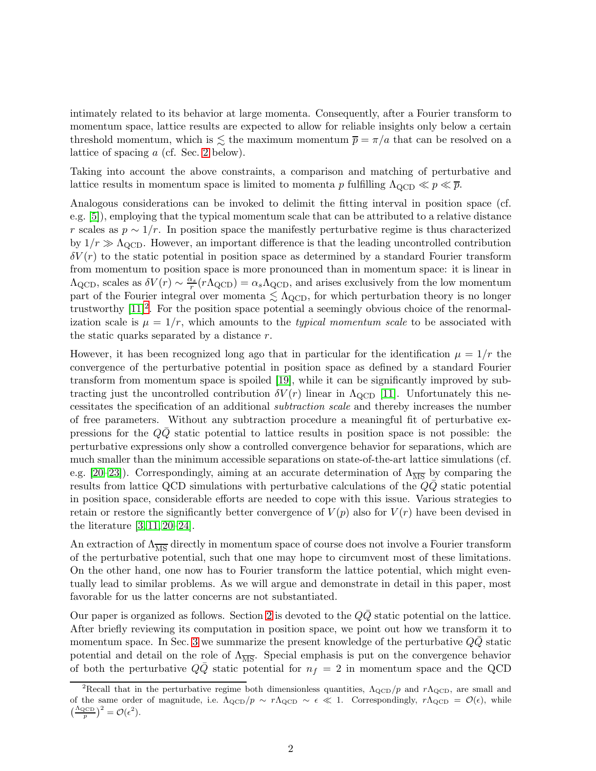intimately related to its behavior at large momenta. Consequently, after a Fourier transform to momentum space, lattice results are expected to allow for reliable insights only below a certain threshold momentum, which is  $\leq$  the maximum momentum  $\bar{p} = \pi/a$  that can be resolved on a lattice of spacing a (cf. Sec. [2](#page-4-0) below).

Taking into account the above constraints, a comparison and matching of perturbative and lattice results in momentum space is limited to momenta p fulfilling  $\Lambda_{\text{QCD}} \ll p \ll \bar{p}$ .

Analogous considerations can be invoked to delimit the fitting interval in position space (cf. e.g. [\[5\]](#page-23-4)), employing that the typical momentum scale that can be attributed to a relative distance r scales as  $p \sim 1/r$ . In position space the manifestly perturbative regime is thus characterized by  $1/r \gg \Lambda_{\text{QCD}}$ . However, an important difference is that the leading uncontrolled contribution  $\delta V(r)$  to the static potential in position space as determined by a standard Fourier transform from momentum to position space is more pronounced than in momentum space: it is linear in  $\Lambda_{\rm QCD}$ , scales as  $\delta V(r) \sim \frac{\alpha_s}{r} (r \Lambda_{\rm QCD}) = \alpha_s \Lambda_{\rm QCD}$ , and arises exclusively from the low momentum part of the Fourier integral over momenta  $\lesssim \Lambda_{\rm QCD}$ , for which perturbation theory is no longer trustworthy  $[11]^2$  $[11]^2$ . For the position space potential a seemingly obvious choice of the renormalization scale is  $\mu = 1/r$ , which amounts to the *typical momentum scale* to be associated with the static quarks separated by a distance r.

However, it has been recognized long ago that in particular for the identification  $\mu = 1/r$  the convergence of the perturbative potential in position space as defined by a standard Fourier transform from momentum space is spoiled [\[19\]](#page-24-3), while it can be significantly improved by subtracting just the uncontrolled contribution  $\delta V(r)$  linear in  $\Lambda_{\text{QCD}}$  [\[11\]](#page-23-3). Unfortunately this necessitates the specification of an additional subtraction scale and thereby increases the number of free parameters. Without any subtraction procedure a meaningful fit of perturbative expressions for the  $QQ$  static potential to lattice results in position space is not possible: the perturbative expressions only show a controlled convergence behavior for separations, which are much smaller than the minimum accessible separations on state-of-the-art lattice simulations (cf. e.g. [\[20](#page-24-4)[–23\]](#page-24-5)). Correspondingly, aiming at an accurate determination of  $\Lambda_{\overline{\rm MS}}$  by comparing the results from lattice QCD simulations with perturbative calculations of the  $Q\bar{Q}$  static potential in position space, considerable efforts are needed to cope with this issue. Various strategies to retain or restore the significantly better convergence of  $V(p)$  also for  $V(r)$  have been devised in the literature [\[3,](#page-23-5) [11,](#page-23-3) [20](#page-24-4)[–24\]](#page-24-6).

An extraction of  $\Lambda_{\overline{\text{MS}}}$  directly in momentum space of course does not involve a Fourier transform of the perturbative potential, such that one may hope to circumvent most of these limitations. On the other hand, one now has to Fourier transform the lattice potential, which might eventually lead to similar problems. As we will argue and demonstrate in detail in this paper, most favorable for us the latter concerns are not substantiated.

Our paper is organized as follows. Section [2](#page-4-0) is devoted to the  $Q\bar{Q}$  static potential on the lattice. After briefly reviewing its computation in position space, we point out how we transform it to momentum space. In Sec. [3](#page-8-0) we summarize the present knowledge of the perturbative  $Q\bar{Q}$  static potential and detail on the role of  $\Lambda_{\overline{\text{MS}}}$ . Special emphasis is put on the convergence behavior of both the perturbative  $Q\overline{Q}$  static potential for  $n_f = 2$  in momentum space and the QCD

<span id="page-2-0"></span><sup>&</sup>lt;sup>2</sup>Recall that in the perturbative regime both dimensionless quantities,  $\Lambda_{\rm QCD}/p$  and  $r\Lambda_{\rm QCD}$ , are small and of the same order of magnitude, i.e.  $\Lambda_{\text{QCD}}/p \sim r\Lambda_{\text{QCD}} \sim \epsilon \ll 1$ . Correspondingly,  $r\Lambda_{\text{QCD}} = \mathcal{O}(\epsilon)$ , while  $\left(\frac{\Lambda_{\text{QCD}}}{p}\right)^2 = \mathcal{O}(\epsilon^2).$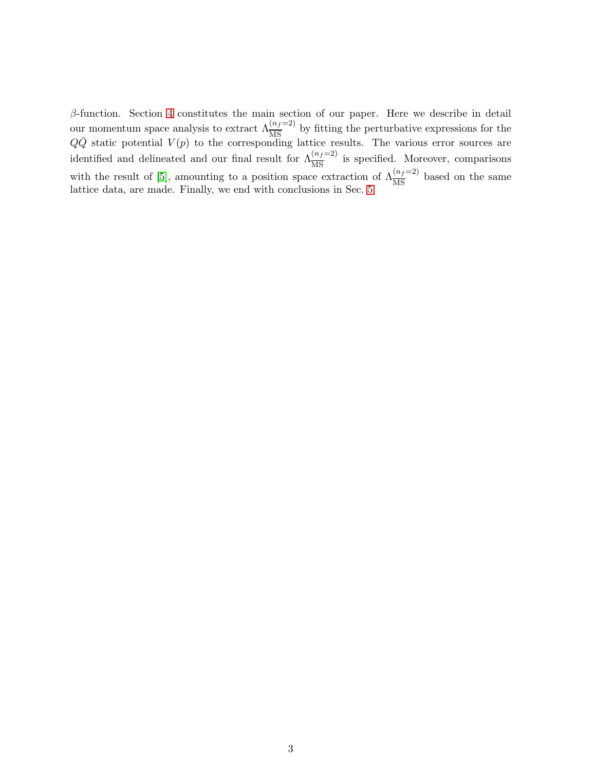$β$ -function. Section [4](#page-13-0) constitutes the main section of our paper. Here we describe in detail our momentum space analysis to extract  $\Lambda_{\overline{\rm MS}}^{(n_f=2)}$  by fitting the perturbative expressions for the  $Q\overline{Q}$  static potential  $V(p)$  to the corresponding lattice results. The various error sources are identified and delineated and our final result for  $\Lambda_{\overline{\rm MS}}^{(n_f=2)}$  is specified. Moreover, comparisons with the result of [\[5\]](#page-23-4), amounting to a position space extraction of  $\Lambda_{\overline{\rm MS}}^{(n_f=2)}$  based on the same lattice data, are made. Finally, we end with conclusions in Sec. [5.](#page-22-0)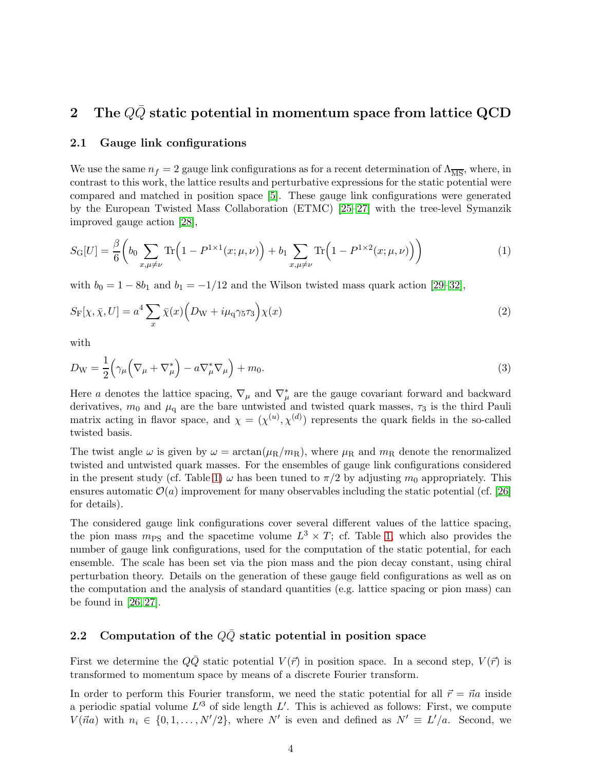## <span id="page-4-0"></span>2 The  $Q\bar{Q}$  static potential in momentum space from lattice QCD

#### 2.1 Gauge link configurations

We use the same  $n_f = 2$  gauge link configurations as for a recent determination of  $\Lambda_{\overline{\rm MS}}$ , where, in contrast to this work, the lattice results and perturbative expressions for the static potential were compared and matched in position space [\[5\]](#page-23-4). These gauge link configurations were generated by the European Twisted Mass Collaboration (ETMC) [\[25](#page-24-7)[–27\]](#page-24-8) with the tree-level Symanzik improved gauge action [\[28\]](#page-24-9),

$$
S_{\mathcal{G}}[U] = \frac{\beta}{6} \left( b_0 \sum_{x,\mu \neq \nu} \text{Tr} \left( 1 - P^{1 \times 1}(x; \mu, \nu) \right) + b_1 \sum_{x,\mu \neq \nu} \text{Tr} \left( 1 - P^{1 \times 2}(x; \mu, \nu) \right) \right) \tag{1}
$$

with  $b_0 = 1 - 8b_1$  and  $b_1 = -1/12$  and the Wilson twisted mass quark action [\[29–](#page-25-0)[32\]](#page-25-1),

$$
S_{\mathcal{F}}[\chi, \bar{\chi}, U] = a^4 \sum_{x} \bar{\chi}(x) \Big( D_{\mathcal{W}} + i \mu_{\mathcal{q}} \gamma_5 \tau_3 \Big) \chi(x) \tag{2}
$$

with

$$
D_{\rm W} = \frac{1}{2} \left( \gamma_{\mu} \left( \nabla_{\mu} + \nabla_{\mu}^{*} \right) - a \nabla_{\mu}^{*} \nabla_{\mu} \right) + m_{0}.
$$
 (3)

Here a denotes the lattice spacing,  $\nabla_{\mu}$  and  $\nabla_{\mu}^{*}$  are the gauge covariant forward and backward derivatives,  $m_0$  and  $\mu_q$  are the bare untwisted and twisted quark masses,  $\tau_3$  is the third Pauli matrix acting in flavor space, and  $\chi = (\chi^{(u)}, \chi^{(d)})$  represents the quark fields in the so-called twisted basis.

The twist angle  $\omega$  is given by  $\omega = \arctan(\mu_R/m_R)$ , where  $\mu_R$  and  $m_R$  denote the renormalized twisted and untwisted quark masses. For the ensembles of gauge link configurations considered in the present study (cf. Table [1\)](#page-5-0)  $\omega$  has been tuned to  $\pi/2$  by adjusting  $m_0$  appropriately. This ensures automatic  $\mathcal{O}(a)$  improvement for many observables including the static potential (cf. [\[26\]](#page-24-10) for details).

The considered gauge link configurations cover several different values of the lattice spacing, the pion mass  $m_{PS}$  and the spacetime volume  $L^3 \times T$ ; cf. Table [1,](#page-5-0) which also provides the number of gauge link configurations, used for the computation of the static potential, for each ensemble. The scale has been set via the pion mass and the pion decay constant, using chiral perturbation theory. Details on the generation of these gauge field configurations as well as on the computation and the analysis of standard quantities (e.g. lattice spacing or pion mass) can be found in  $[26, 27]$  $[26, 27]$ .

## <span id="page-4-1"></span>2.2 Computation of the  $Q\bar{Q}$  static potential in position space

First we determine the  $Q\bar{Q}$  static potential  $V(\vec{r})$  in position space. In a second step,  $V(\vec{r})$  is transformed to momentum space by means of a discrete Fourier transform.

In order to perform this Fourier transform, we need the static potential for all  $\vec{r} = \vec{n}a$  inside a periodic spatial volume  $L^3$  of side length  $L'$ . This is achieved as follows: First, we compute  $V(\vec{na})$  with  $n_i \in \{0, 1, ..., N'/2\}$ , where N' is even and defined as  $N' \equiv L'/a$ . Second, we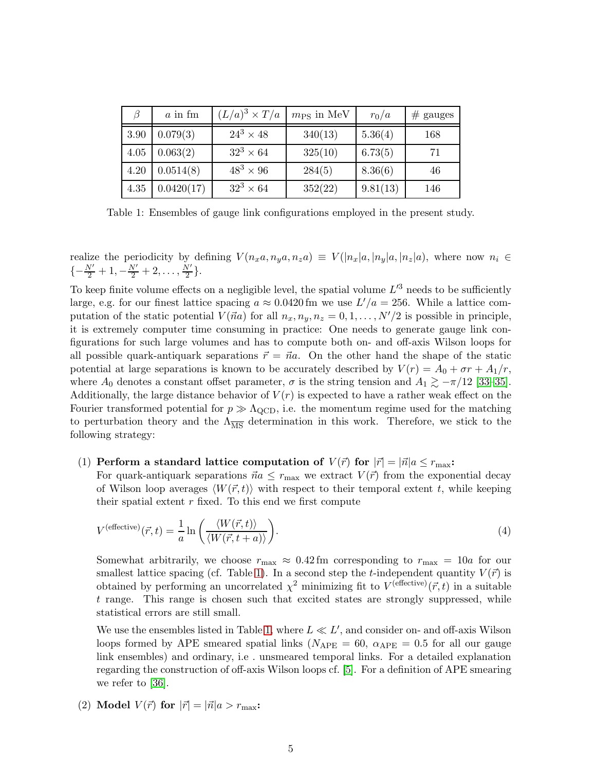| $\beta$ | $a$ in fm  | $(L/a)^3 \times T/a$ | $m_{\rm PS}$ in MeV | $r_0/a$  | $#$ gauges |
|---------|------------|----------------------|---------------------|----------|------------|
| 3.90    | 0.079(3)   | $24^3 \times 48$     | 340(13)             | 5.36(4)  | 168        |
| 4.05    | 0.063(2)   | $32^3 \times 64$     | 325(10)             | 6.73(5)  | 71         |
| 4.20    | 0.0514(8)  | $48^3 \times 96$     | 284(5)              | 8.36(6)  | 46         |
| 4.35    | 0.0420(17) | $32^3 \times 64$     | 352(22)             | 9.81(13) | 146        |

<span id="page-5-0"></span>Table 1: Ensembles of gauge link configurations employed in the present study.

realize the periodicity by defining  $V(n_x a, n_y a, n_z a) \equiv V(|n_x|a, |n_y|a, |n_z|a)$ , where now  $n_i \in$  $\{-\frac{N'}{2}+1,-\frac{N'}{2}+2,\ldots,\frac{N'}{2}\}$  $\frac{\sqrt{2}}{2}$ .

To keep finite volume effects on a negligible level, the spatial volume  $L^{\prime 3}$  needs to be sufficiently large, e.g. for our finest lattice spacing  $a \approx 0.0420$  fm we use  $L'/a = 256$ . While a lattice computation of the static potential  $V(\vec{a}a)$  for all  $n_x, n_y, n_z = 0, 1, \ldots, N'/2$  is possible in principle, it is extremely computer time consuming in practice: One needs to generate gauge link configurations for such large volumes and has to compute both on- and off-axis Wilson loops for all possible quark-antiquark separations  $\vec{r} = \vec{n}a$ . On the other hand the shape of the static potential at large separations is known to be accurately described by  $V(r) = A_0 + \sigma r + A_1/r$ , where  $A_0$  denotes a constant offset parameter,  $\sigma$  is the string tension and  $A_1 \gtrsim -\pi/12$  [\[33–](#page-25-2)[35\]](#page-25-3). Additionally, the large distance behavior of  $V(r)$  is expected to have a rather weak effect on the Fourier transformed potential for  $p \gg \Lambda_{\rm QCD}$ , i.e. the momentum regime used for the matching to perturbation theory and the  $\Lambda_{\overline{\text{MS}}}$  determination in this work. Therefore, we stick to the following strategy:

#### (1) Perform a standard lattice computation of  $V(\vec{r})$  for  $|\vec{r}| = |\vec{n}| a \leq r_{\text{max}}$ :

For quark-antiquark separations  $\vec{n}a \leq r_{\text{max}}$  we extract  $V(\vec{r})$  from the exponential decay of Wilson loop averages  $\langle W(\vec{r}, t) \rangle$  with respect to their temporal extent t, while keeping their spatial extent  $r$  fixed. To this end we first compute

$$
V^{\text{(effective)}}(\vec{r},t) = \frac{1}{a} \ln \left( \frac{\langle W(\vec{r},t) \rangle}{\langle W(\vec{r},t+a) \rangle} \right). \tag{4}
$$

Somewhat arbitrarily, we choose  $r_{\text{max}} \approx 0.42 \text{ fm}$  corresponding to  $r_{\text{max}} = 10a$  for our smallest lattice spacing (cf. Table [1\)](#page-5-0). In a second step the *t*-independent quantity  $V(\vec{r})$  is obtained by performing an uncorrelated  $\chi^2$  minimizing fit to  $V^{(effective)}(\vec{r},t)$  in a suitable t range. This range is chosen such that excited states are strongly suppressed, while statistical errors are still small.

We use the ensembles listed in Table [1,](#page-5-0) where  $L \ll L'$ , and consider on- and off-axis Wilson loops formed by APE smeared spatial links ( $N_{\text{APE}} = 60$ ,  $\alpha_{\text{APE}} = 0.5$  for all our gauge link ensembles) and ordinary, i.e . unsmeared temporal links. For a detailed explanation regarding the construction of off-axis Wilson loops cf. [\[5\]](#page-23-4). For a definition of APE smearing we refer to [\[36\]](#page-25-4).

(2) Model  $V(\vec{r})$  for  $|\vec{r}| = |\vec{n}|a > r_{\text{max}}$ :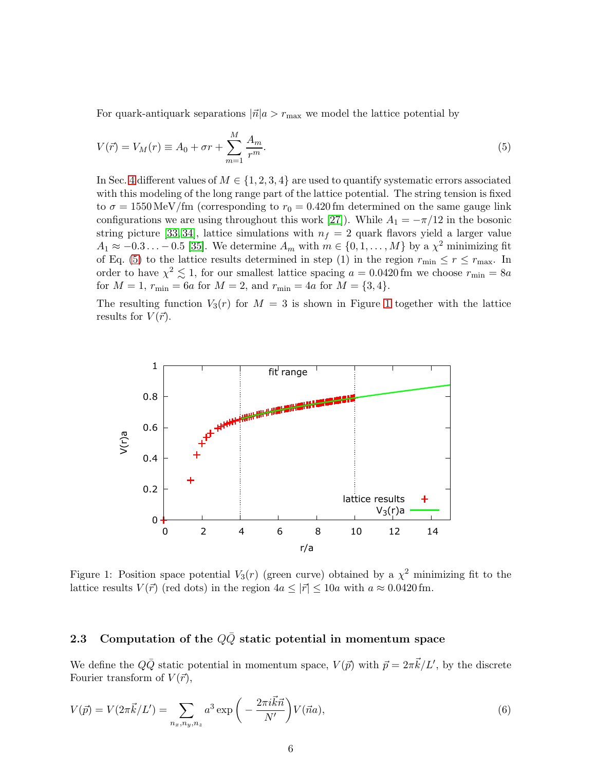<span id="page-6-0"></span>For quark-antiquark separations  $|\vec{n}|a > r_{\text{max}}$  we model the lattice potential by

$$
V(\vec{r}) = V_M(r) \equiv A_0 + \sigma r + \sum_{m=1}^{M} \frac{A_m}{r^m}.
$$
\n
$$
(5)
$$

In Sec. [4](#page-13-0) different values of  $M \in \{1, 2, 3, 4\}$  are used to quantify systematic errors associated with this modeling of the long range part of the lattice potential. The string tension is fixed to  $\sigma = 1550 \,\text{MeV}/\text{fm}$  (corresponding to  $r_0 = 0.420 \,\text{fm}$  determined on the same gauge link configurations we are using throughout this work [\[27\]](#page-24-8)). While  $A_1 = -\pi/12$  in the bosonic string picture [\[33,](#page-25-2) [34\]](#page-25-5), lattice simulations with  $n_f = 2$  quark flavors yield a larger value  $A_1 \approx -0.3 \ldots -0.5$  [\[35\]](#page-25-3). We determine  $A_m$  with  $m \in \{0, 1, \ldots, M\}$  by a  $\chi^2$  minimizing fit of Eq. [\(5\)](#page-6-0) to the lattice results determined in step (1) in the region  $r_{\min} \leq r \leq r_{\max}$ . In order to have  $\chi^2 \lesssim 1$ , for our smallest lattice spacing  $a = 0.0420$  fm we choose  $r_{\min} = 8a$ for  $M = 1$ ,  $r_{\min} = 6a$  for  $M = 2$ , and  $r_{\min} = 4a$  for  $M = \{3, 4\}.$ 

The resulting function  $V_3(r)$  for  $M = 3$  is shown in Figure [1](#page-6-1) together with the lattice results for  $V(\vec{r})$ .



<span id="page-6-1"></span>Figure 1: Position space potential  $V_3(r)$  (green curve) obtained by a  $\chi^2$  minimizing fit to the lattice results  $V(\vec{r})$  (red dots) in the region  $4a \leq |\vec{r}| \leq 10a$  with  $a \approx 0.0420$  fm.

## 2.3 Computation of the  $Q\bar{Q}$  static potential in momentum space

<span id="page-6-2"></span>We define the  $Q\bar{Q}$  static potential in momentum space,  $V(\vec{p})$  with  $\vec{p} = 2\pi \vec{k}/L'$ , by the discrete Fourier transform of  $V(\vec{r})$ ,

$$
V(\vec{p}) = V(2\pi \vec{k}/L') = \sum_{n_x, n_y, n_z} a^3 \exp\left(-\frac{2\pi i \vec{k}\vec{n}}{N'}\right) V(\vec{n}a),\tag{6}
$$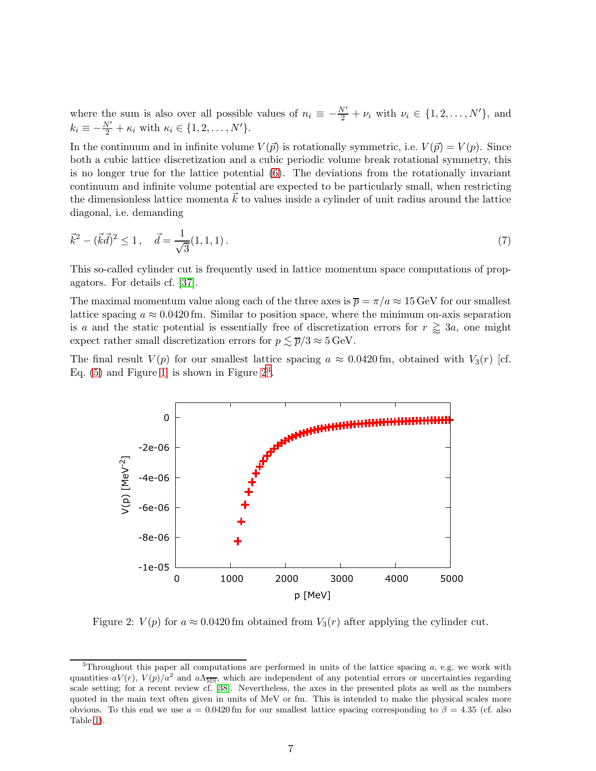where the sum is also over all possible values of  $n_i \equiv -\frac{N'}{2} + \nu_i$  with  $\nu_i \in \{1, 2, ..., N'\}$ , and  $k_i \equiv -\frac{N'}{2} + \kappa_i$  with  $\kappa_i \in \{1, 2, \ldots, N'\}.$ 

In the continuum and in infinite volume  $V(\vec{p})$  is rotationally symmetric, i.e.  $V(\vec{p}) = V(p)$ . Since both a cubic lattice discretization and a cubic periodic volume break rotational symmetry, this is no longer true for the lattice potential [\(6\)](#page-6-2). The deviations from the rotationally invariant continuum and infinite volume potential are expected to be particularly small, when restricting the dimensionless lattice momenta  $\vec{k}$  to values inside a cylinder of unit radius around the lattice diagonal, i.e. demanding

$$
\vec{k}^2 - (\vec{k}\vec{d})^2 \le 1, \quad \vec{d} = \frac{1}{\sqrt{3}}(1, 1, 1). \tag{7}
$$

This so-called cylinder cut is frequently used in lattice momentum space computations of propagators. For details cf. [\[37\]](#page-25-6).

The maximal momentum value along each of the three axes is  $\overline{p} = \pi/a \approx 15 \,\text{GeV}$  for our smallest lattice spacing  $a \approx 0.0420$  fm. Similar to position space, where the minimum on-axis separation is a and the static potential is essentially free of discretization errors for  $r \gtrapprox 3a$ , one might expect rather small discretization errors for  $p \leq \overline{p}/3 \approx 5 \,\text{GeV}$ .

The final result  $V(p)$  for our smallest lattice spacing  $a \approx 0.0420$  fm, obtained with  $V_3(r)$  [cf. Eq.  $(5)$  and Figure 1 is shown in Figure  $2<sup>3</sup>$  $2<sup>3</sup>$  $2<sup>3</sup>$ .



<span id="page-7-0"></span>Figure 2:  $V(p)$  for  $a \approx 0.0420$  fm obtained from  $V_3(r)$  after applying the cylinder cut.

<span id="page-7-1"></span> ${}^{3}$ Throughout this paper all computations are performed in units of the lattice spacing a, e.g. we work with quantities  $aV(r)$ ,  $V(p)/a^2$  and  $a\Lambda_{\overline{\rm MS}}$ , which are independent of any potential errors or uncertainties regarding scale setting; for a recent review cf. [\[38\]](#page-25-7). Nevertheless, the axes in the presented plots as well as the numbers quoted in the main text often given in units of MeV or fm. This is intended to make the physical scales more obvious. To this end we use  $a = 0.0420$  fm for our smallest lattice spacing corresponding to  $\beta = 4.35$  (cf. also Table [1\)](#page-5-0).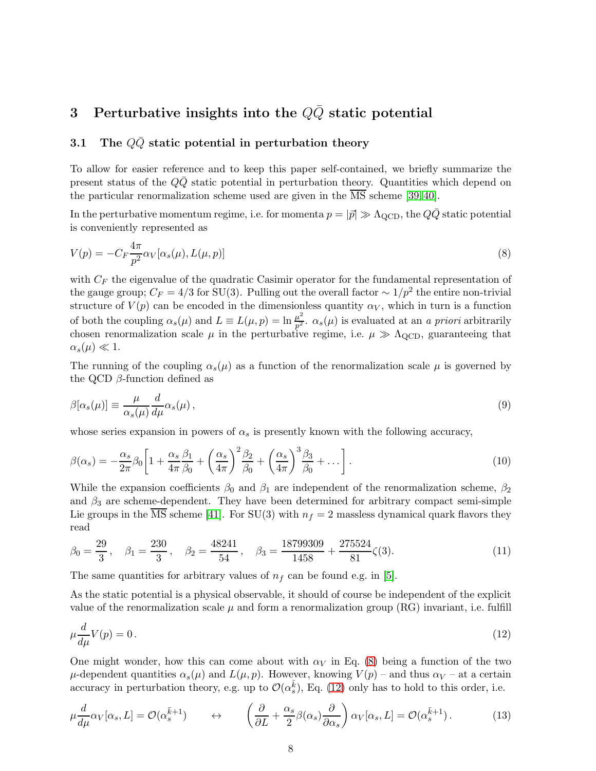# <span id="page-8-0"></span>3 Perturbative insights into the  $Q\bar{Q}$  static potential

## 3.1 The  $Q\bar{Q}$  static potential in perturbation theory

To allow for easier reference and to keep this paper self-contained, we briefly summarize the present status of the  $Q\bar{Q}$  static potential in perturbation theory. Quantities which depend on the particular renormalization scheme used are given in the  $\overline{\text{MS}}$  scheme [\[39,](#page-25-8) [40\]](#page-25-9).

<span id="page-8-1"></span>In the perturbative momentum regime, i.e. for momenta  $p = |\vec{p}| \gg \Lambda_{\text{QCD}}$ , the  $Q\bar{Q}$  static potential is conveniently represented as

$$
V(p) = -C_F \frac{4\pi}{p^2} \alpha_V[\alpha_s(\mu), L(\mu, p)] \tag{8}
$$

with  $C_F$  the eigenvalue of the quadratic Casimir operator for the fundamental representation of the gauge group;  $C_F = 4/3$  for SU(3). Pulling out the overall factor  $\sim 1/p^2$  the entire non-trivial structure of  $V(p)$  can be encoded in the dimensionless quantity  $\alpha_V$ , which in turn is a function of both the coupling  $\alpha_s(\mu)$  and  $L \equiv L(\mu, p) = \ln \frac{\mu^2}{p^2}$  $\frac{\mu^2}{p^2}$ .  $\alpha_s(\mu)$  is evaluated at an a priori arbitrarily chosen renormalization scale  $\mu$  in the perturbative regime, i.e.  $\mu \gg \Lambda_{\rm QCD}$ , guaranteeing that  $\alpha_s(\mu) \ll 1.$ 

<span id="page-8-4"></span>The running of the coupling  $\alpha_s(\mu)$  as a function of the renormalization scale  $\mu$  is governed by the QCD  $\beta$ -function defined as

$$
\beta[\alpha_s(\mu)] \equiv \frac{\mu}{\alpha_s(\mu)} \frac{d}{d\mu} \alpha_s(\mu) \,, \tag{9}
$$

<span id="page-8-5"></span>whose series expansion in powers of  $\alpha_s$  is presently known with the following accuracy,

$$
\beta(\alpha_s) = -\frac{\alpha_s}{2\pi} \beta_0 \left[ 1 + \frac{\alpha_s}{4\pi} \frac{\beta_1}{\beta_0} + \left( \frac{\alpha_s}{4\pi} \right)^2 \frac{\beta_2}{\beta_0} + \left( \frac{\alpha_s}{4\pi} \right)^3 \frac{\beta_3}{\beta_0} + \dots \right].
$$
\n(10)

While the expansion coefficients  $\beta_0$  and  $\beta_1$  are independent of the renormalization scheme,  $\beta_2$ and  $\beta_3$  are scheme-dependent. They have been determined for arbitrary compact semi-simple Lie groups in the  $\overline{\text{MS}}$  scheme [\[41\]](#page-25-10). For SU(3) with  $n_f = 2$  massless dynamical quark flavors they read

$$
\beta_0 = \frac{29}{3}, \quad \beta_1 = \frac{230}{3}, \quad \beta_2 = \frac{48241}{54}, \quad \beta_3 = \frac{18799309}{1458} + \frac{275524}{81} \zeta(3).
$$
\n(11)

The same quantities for arbitrary values of  $n_f$  can be found e.g. in [\[5\]](#page-23-4).

As the static potential is a physical observable, it should of course be independent of the explicit value of the renormalization scale  $\mu$  and form a renormalization group (RG) invariant, i.e. fulfill

<span id="page-8-2"></span>
$$
\mu \frac{d}{d\mu} V(p) = 0. \tag{12}
$$

<span id="page-8-3"></span>One might wonder, how this can come about with  $\alpha_V$  in Eq. [\(8\)](#page-8-1) being a function of the two  $\mu$ -dependent quantities  $\alpha_s(\mu)$  and  $L(\mu, p)$ . However, knowing  $V(p)$  – and thus  $\alpha_V$  – at a certain accuracy in perturbation theory, e.g. up to  $\mathcal{O}(\alpha_s^{\overline{k}})$ , Eq. [\(12\)](#page-8-2) only has to hold to this order, i.e.

$$
\mu \frac{d}{d\mu} \alpha_V[\alpha_s, L] = \mathcal{O}(\alpha_s^{\bar{k}+1}) \qquad \leftrightarrow \qquad \left(\frac{\partial}{\partial L} + \frac{\alpha_s}{2} \beta(\alpha_s) \frac{\partial}{\partial \alpha_s}\right) \alpha_V[\alpha_s, L] = \mathcal{O}(\alpha_s^{\bar{k}+1}). \tag{13}
$$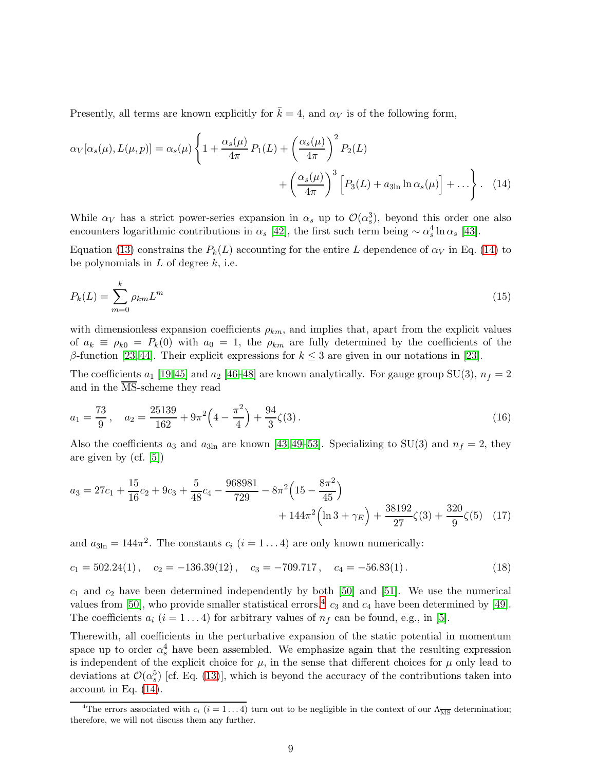Presently, all terms are known explicitly for  $\bar{k} = 4$ , and  $\alpha_V$  is of the following form,

$$
\alpha_V[\alpha_s(\mu), L(\mu, p)] = \alpha_s(\mu) \left\{ 1 + \frac{\alpha_s(\mu)}{4\pi} P_1(L) + \left(\frac{\alpha_s(\mu)}{4\pi}\right)^2 P_2(L) + \left(\frac{\alpha_s(\mu)}{4\pi}\right)^3 \left[ P_3(L) + a_{3\ln} \ln \alpha_s(\mu) \right] + \dots \right\}.
$$
 (14)

<span id="page-9-0"></span>While  $\alpha_V$  has a strict power-series expansion in  $\alpha_s$  up to  $\mathcal{O}(\alpha_s^3)$ , beyond this order one also encounters logarithmic contributions in  $\alpha_s$  [\[42\]](#page-25-11), the first such term being  $\sim \alpha_s^4 \ln \alpha_s$  [\[43\]](#page-25-12).

Equation [\(13\)](#page-8-3) constrains the  $P_k(L)$  accounting for the entire L dependence of  $\alpha_V$  in Eq. [\(14\)](#page-9-0) to be polynomials in  $L$  of degree  $k$ , i.e.

$$
P_k(L) = \sum_{m=0}^{k} \rho_{km} L^m \tag{15}
$$

with dimensionless expansion coefficients  $\rho_{km}$ , and implies that, apart from the explicit values of  $a_k \equiv \rho_{k0} = P_k(0)$  with  $a_0 = 1$ , the  $\rho_{km}$  are fully determined by the coefficients of the β-function [\[23,](#page-24-5) [44\]](#page-25-13). Their explicit expressions for  $k \leq 3$  are given in our notations in [\[23\]](#page-24-5).

The coefficients  $a_1$  [\[19,](#page-24-3)[45\]](#page-25-14) and  $a_2$  [\[46](#page-25-15)[–48\]](#page-26-0) are known analytically. For gauge group SU(3),  $n_f = 2$ and in the  $\overline{\text{MS}}$ -scheme they read

$$
a_1 = \frac{73}{9}, \quad a_2 = \frac{25139}{162} + 9\pi^2 \left(4 - \frac{\pi^2}{4}\right) + \frac{94}{3}\zeta(3). \tag{16}
$$

Also the coefficients  $a_3$  and  $a_{3ln}$  are known [\[43,](#page-25-12) [49–](#page-26-1)[53\]](#page-26-2). Specializing to SU(3) and  $n_f = 2$ , they are given by (cf. [\[5\]](#page-23-4))

$$
a_3 = 27c_1 + \frac{15}{16}c_2 + 9c_3 + \frac{5}{48}c_4 - \frac{968981}{729} - 8\pi^2 \left(15 - \frac{8\pi^2}{45}\right) + 144\pi^2 \left(\ln 3 + \gamma_E\right) + \frac{38192}{27}\zeta(3) + \frac{320}{9}\zeta(5)
$$
 (17)

and  $a_{3ln} = 144\pi^2$ . The constants  $c_i$   $(i = 1 \dots 4)$  are only known numerically:

$$
c_1 = 502.24(1)
$$
,  $c_2 = -136.39(12)$ ,  $c_3 = -709.717$ ,  $c_4 = -56.83(1)$ . (18)

 $c_1$  and  $c_2$  have been determined independently by both [\[50\]](#page-26-3) and [\[51\]](#page-26-4). We use the numerical values from [\[50\]](#page-26-3), who provide smaller statistical errors.<sup>[4](#page-9-1)</sup>  $c_3$  and  $c_4$  have been determined by [\[49\]](#page-26-1). The coefficients  $a_i$  (i = 1...4) for arbitrary values of  $n_f$  can be found, e.g., in [\[5\]](#page-23-4).

Therewith, all coefficients in the perturbative expansion of the static potential in momentum space up to order  $\alpha_s^4$  have been assembled. We emphasize again that the resulting expression is independent of the explicit choice for  $\mu$ , in the sense that different choices for  $\mu$  only lead to deviations at  $\mathcal{O}(\alpha_s^5)$  [cf. Eq. [\(13\)](#page-8-3)], which is beyond the accuracy of the contributions taken into account in Eq. [\(14\)](#page-9-0).

<span id="page-9-1"></span><sup>&</sup>lt;sup>4</sup>The errors associated with  $c_i$  ( $i = 1...4$ ) turn out to be negligible in the context of our  $\Lambda_{\overline{\text{MS}}}$  determination; therefore, we will not discuss them any further.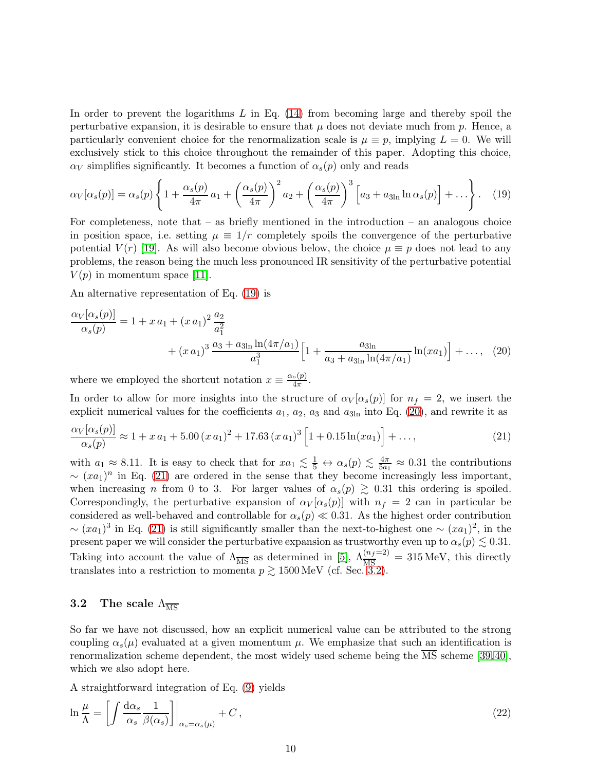In order to prevent the logarithms  $L$  in Eq. [\(14\)](#page-9-0) from becoming large and thereby spoil the perturbative expansion, it is desirable to ensure that  $\mu$  does not deviate much from p. Hence, a particularly convenient choice for the renormalization scale is  $\mu \equiv p$ , implying  $L = 0$ . We will exclusively stick to this choice throughout the remainder of this paper. Adopting this choice,  $\alpha_V$  simplifies significantly. It becomes a function of  $\alpha_s(p)$  only and reads

<span id="page-10-0"></span>
$$
\alpha_V[\alpha_s(p)] = \alpha_s(p) \left\{ 1 + \frac{\alpha_s(p)}{4\pi} a_1 + \left(\frac{\alpha_s(p)}{4\pi}\right)^2 a_2 + \left(\frac{\alpha_s(p)}{4\pi}\right)^3 \left[ a_3 + a_{3\ln} \ln \alpha_s(p) \right] + \dots \right\}.
$$
 (19)

For completeness, note that  $-$  as briefly mentioned in the introduction  $-$  an analogous choice in position space, i.e. setting  $\mu \equiv 1/r$  completely spoils the convergence of the perturbative potential  $V(r)$  [\[19\]](#page-24-3). As will also become obvious below, the choice  $\mu \equiv p$  does not lead to any problems, the reason being the much less pronounced IR sensitivity of the perturbative potential  $V(p)$  in momentum space [\[11\]](#page-23-3).

An alternative representation of Eq. [\(19\)](#page-10-0) is

<span id="page-10-1"></span>
$$
\frac{\alpha_V[\alpha_s(p)]}{\alpha_s(p)} = 1 + x a_1 + (x a_1)^2 \frac{a_2}{a_1^2} + (x a_1)^3 \frac{a_3 + a_{3\ln} \ln(4\pi/a_1)}{a_1^3} \Big[ 1 + \frac{a_{3\ln}}{a_3 + a_{3\ln} \ln(4\pi/a_1)} \ln(x a_1) \Big] + \dots, (20)
$$

where we employed the shortcut notation  $x \equiv \frac{\alpha_s(p)}{4\pi}$  $\frac{s(p)}{4\pi}$ .

In order to allow for more insights into the structure of  $\alpha_V[\alpha_s(p)]$  for  $n_f = 2$ , we insert the explicit numerical values for the coefficients  $a_1, a_2, a_3$  and  $a_{3ln}$  into Eq. [\(20\)](#page-10-1), and rewrite it as

<span id="page-10-2"></span>
$$
\frac{\alpha_V[\alpha_s(p)]}{\alpha_s(p)} \approx 1 + x a_1 + 5.00 (x a_1)^2 + 17.63 (x a_1)^3 \left[1 + 0.15 \ln(x a_1)\right] + \dots,
$$
\n(21)

with  $a_1 \approx 8.11$ . It is easy to check that for  $xa_1 \lesssim \frac{1}{5} \leftrightarrow \alpha_s(p) \lesssim \frac{4\pi}{5a_1} \approx 0.31$  the contributions  $\sim (xa_1)^n$  in Eq. [\(21\)](#page-10-2) are ordered in the sense that they become increasingly less important, when increasing n from 0 to 3. For larger values of  $\alpha_s(p) \geq 0.31$  this ordering is spoiled. Correspondingly, the perturbative expansion of  $\alpha_V[\alpha_s(p)]$  with  $n_f = 2$  can in particular be considered as well-behaved and controllable for  $\alpha_s(p) \ll 0.31$ . As the highest order contribution  $\sim (xa_1)^3$  in Eq. [\(21\)](#page-10-2) is still significantly smaller than the next-to-highest one  $\sim (xa_1)^2$ , in the present paper we will consider the perturbative expansion as trustworthy even up to  $\alpha_s(p) \lesssim 0.31$ . Taking into account the value of  $\Lambda_{\overline{\text{MS}}}$  as determined in [\[5\]](#page-23-4),  $\Lambda_{\overline{\text{MS}}}^{(n_f=2)} = 315 \text{ MeV}$ , this directly translates into a restriction to momenta  $p \gtrsim 1500 \,\text{MeV}$  (cf. Sec. [3.2\)](#page-10-3).

#### <span id="page-10-3"></span>3.2 The scale  $\Lambda_{\overline{\text{MS}}}$

So far we have not discussed, how an explicit numerical value can be attributed to the strong coupling  $\alpha_s(\mu)$  evaluated at a given momentum  $\mu$ . We emphasize that such an identification is renormalization scheme dependent, the most widely used scheme being the  $\overline{\text{MS}}$  scheme [\[39,](#page-25-8) [40\]](#page-25-9), which we also adopt here.

<span id="page-10-4"></span>A straightforward integration of Eq. [\(9\)](#page-8-4) yields  $\sim$   $\sim$ 

$$
\ln \frac{\mu}{\Lambda} = \left[ \int \frac{d\alpha_s}{\alpha_s} \frac{1}{\beta(\alpha_s)} \right] \Big|_{\alpha_s = \alpha_s(\mu)} + C \,, \tag{22}
$$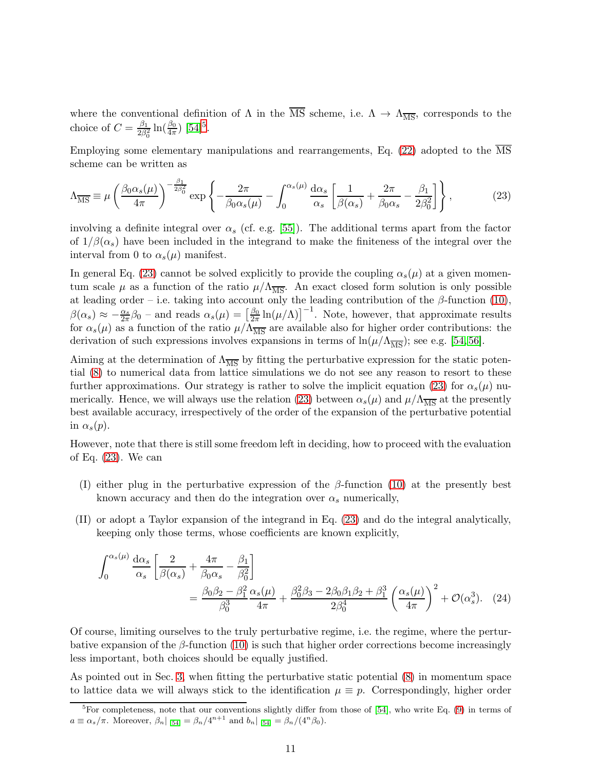where the conventional definition of  $\Lambda$  in the  $\overline{\text{MS}}$  scheme, i.e.  $\Lambda \to \Lambda_{\overline{\text{MS}}}$ , corresponds to the choice of  $C = \frac{\beta_1}{2\beta_1^2}$  $\frac{\beta_1}{2\beta_0^2} \ln(\frac{\beta_0}{4\pi})$  [\[54\]](#page-26-5)<sup>[5](#page-11-0)</sup>.

<span id="page-11-1"></span>Employing some elementary manipulations and rearrangements, Eq. [\(22\)](#page-10-4) adopted to the  $\overline{\text{MS}}$ scheme can be written as

$$
\Lambda_{\overline{\rm MS}} \equiv \mu \left( \frac{\beta_0 \alpha_s(\mu)}{4\pi} \right)^{-\frac{\beta_1}{2\beta_0^2}} \exp \left\{ -\frac{2\pi}{\beta_0 \alpha_s(\mu)} - \int_0^{\alpha_s(\mu)} \frac{\mathrm{d}\alpha_s}{\alpha_s} \left[ \frac{1}{\beta(\alpha_s)} + \frac{2\pi}{\beta_0 \alpha_s} - \frac{\beta_1}{2\beta_0^2} \right] \right\},\tag{23}
$$

involving a definite integral over  $\alpha_s$  (cf. e.g. [\[55\]](#page-26-6)). The additional terms apart from the factor of  $1/\beta(\alpha_s)$  have been included in the integrand to make the finiteness of the integral over the interval from 0 to  $\alpha_s(\mu)$  manifest.

In general Eq. [\(23\)](#page-11-1) cannot be solved explicitly to provide the coupling  $\alpha_s(\mu)$  at a given momentum scale  $\mu$  as a function of the ratio  $\mu/\Lambda_{\overline{MS}}$ . An exact closed form solution is only possible at leading order – i.e. taking into account only the leading contribution of the  $\beta$ -function [\(10\)](#page-8-5),  $\beta(\alpha_s) \approx -\frac{\alpha_s}{2\pi}\beta_0$  – and reads  $\alpha_s(\mu) = \left[\frac{\beta_0}{2\pi}\right]$  $\frac{\beta_0}{2\pi} \ln(\mu/\Lambda)$ <sup>-1</sup>. Note, however, that approximate results for  $\alpha_s(\mu)$  as a function of the ratio  $\mu/\Lambda_{\overline{MS}}$  are available also for higher order contributions: the derivation of such expressions involves expansions in terms of  $\ln(\mu/\Lambda_{\overline{\rm MS}})$ ; see e.g. [\[54,](#page-26-5) [56\]](#page-26-7).

Aiming at the determination of  $\Lambda_{\overline{\text{MS}}}$  by fitting the perturbative expression for the static potential [\(8\)](#page-8-1) to numerical data from lattice simulations we do not see any reason to resort to these further approximations. Our strategy is rather to solve the implicit equation [\(23\)](#page-11-1) for  $\alpha_s(\mu)$  nu-merically. Hence, we will always use the relation [\(23\)](#page-11-1) between  $\alpha_s(\mu)$  and  $\mu/\Lambda_{\overline{MS}}$  at the presently best available accuracy, irrespectively of the order of the expansion of the perturbative potential in  $\alpha_s(p)$ .

However, note that there is still some freedom left in deciding, how to proceed with the evaluation of Eq. [\(23\)](#page-11-1). We can

- (I) either plug in the perturbative expression of the  $\beta$ -function [\(10\)](#page-8-5) at the presently best known accuracy and then do the integration over  $\alpha_s$  numerically,
- (II) or adopt a Taylor expansion of the integrand in Eq. [\(23\)](#page-11-1) and do the integral analytically, keeping only those terms, whose coefficients are known explicitly,

<span id="page-11-2"></span>
$$
\int_0^{\alpha_s(\mu)} \frac{d\alpha_s}{\alpha_s} \left[ \frac{2}{\beta(\alpha_s)} + \frac{4\pi}{\beta_0 \alpha_s} - \frac{\beta_1}{\beta_0^2} \right]
$$
  
= 
$$
\frac{\beta_0 \beta_2 - \beta_1^2}{\beta_0^3} \frac{\alpha_s(\mu)}{4\pi} + \frac{\beta_0^2 \beta_3 - 2\beta_0 \beta_1 \beta_2 + \beta_1^3}{2\beta_0^4} \left( \frac{\alpha_s(\mu)}{4\pi} \right)^2 + \mathcal{O}(\alpha_s^3).
$$
 (24)

Of course, limiting ourselves to the truly perturbative regime, i.e. the regime, where the perturbative expansion of the  $\beta$ -function [\(10\)](#page-8-5) is such that higher order corrections become increasingly less important, both choices should be equally justified.

As pointed out in Sec. [3,](#page-8-0) when fitting the perturbative static potential [\(8\)](#page-8-1) in momentum space to lattice data we will always stick to the identification  $\mu \equiv p$ . Correspondingly, higher order

<span id="page-11-0"></span> ${}^{5}$ For completeness, note that our conventions slightly differ from those of [\[54\]](#page-26-5), who write Eq. [\(9\)](#page-8-4) in terms of  $a \equiv \alpha_s/\pi$ . Moreover,  $\beta_n|_{[54]} = \beta_n/4^{n+1}$  $\beta_n|_{[54]} = \beta_n/4^{n+1}$  $\beta_n|_{[54]} = \beta_n/4^{n+1}$  and  $b_n|_{[54]} = \beta_n/(4^n \beta_0)$ .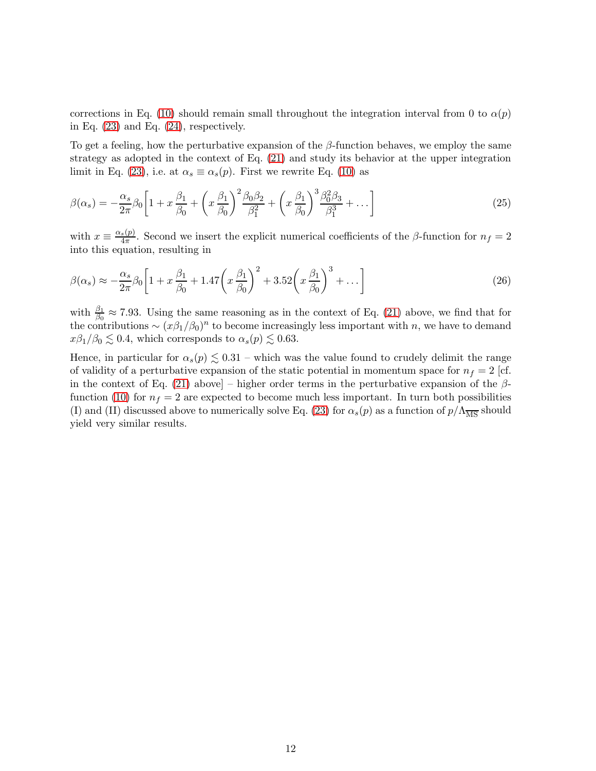corrections in Eq. [\(10\)](#page-8-5) should remain small throughout the integration interval from 0 to  $\alpha(p)$ in Eq.  $(23)$  and Eq.  $(24)$ , respectively.

To get a feeling, how the perturbative expansion of the  $\beta$ -function behaves, we employ the same strategy as adopted in the context of Eq. [\(21\)](#page-10-2) and study its behavior at the upper integration limit in Eq. [\(23\)](#page-11-1), i.e. at  $\alpha_s \equiv \alpha_s(p)$ . First we rewrite Eq. [\(10\)](#page-8-5) as

$$
\beta(\alpha_s) = -\frac{\alpha_s}{2\pi} \beta_0 \left[ 1 + x \frac{\beta_1}{\beta_0} + \left( x \frac{\beta_1}{\beta_0} \right)^2 \frac{\beta_0 \beta_2}{\beta_1^2} + \left( x \frac{\beta_1}{\beta_0} \right)^3 \frac{\beta_0^2 \beta_3}{\beta_1^3} + \dots \right]
$$
(25)

with  $x \equiv \frac{\alpha_s(p)}{4\pi}$  $\frac{s(p)}{4\pi}$ . Second we insert the explicit numerical coefficients of the  $\beta$ -function for  $n_f = 2$ into this equation, resulting in

$$
\beta(\alpha_s) \approx -\frac{\alpha_s}{2\pi} \beta_0 \left[ 1 + x \frac{\beta_1}{\beta_0} + 1.47 \left( x \frac{\beta_1}{\beta_0} \right)^2 + 3.52 \left( x \frac{\beta_1}{\beta_0} \right)^3 + \dots \right] \tag{26}
$$

with  $\frac{\beta_1}{\beta_0} \approx 7.93$ . Using the same reasoning as in the context of Eq. [\(21\)](#page-10-2) above, we find that for the contributions  $\sim (x\beta_1/\beta_0)^n$  to become increasingly less important with n, we have to demand  $x\beta_1/\beta_0 \leq 0.4$ , which corresponds to  $\alpha_s(p) \leq 0.63$ .

Hence, in particular for  $\alpha_s(p) \lesssim 0.31$  – which was the value found to crudely delimit the range of validity of a perturbative expansion of the static potential in momentum space for  $n_f = 2$  [cf. in the context of Eq. [\(21\)](#page-10-2) above] – higher order terms in the perturbative expansion of the  $\beta$ -function [\(10\)](#page-8-5) for  $n_f = 2$  are expected to become much less important. In turn both possibilities (I) and (II) discussed above to numerically solve Eq. [\(23\)](#page-11-1) for  $\alpha_s(p)$  as a function of  $p/\Lambda_{\overline{\rm MS}}$  should yield very similar results.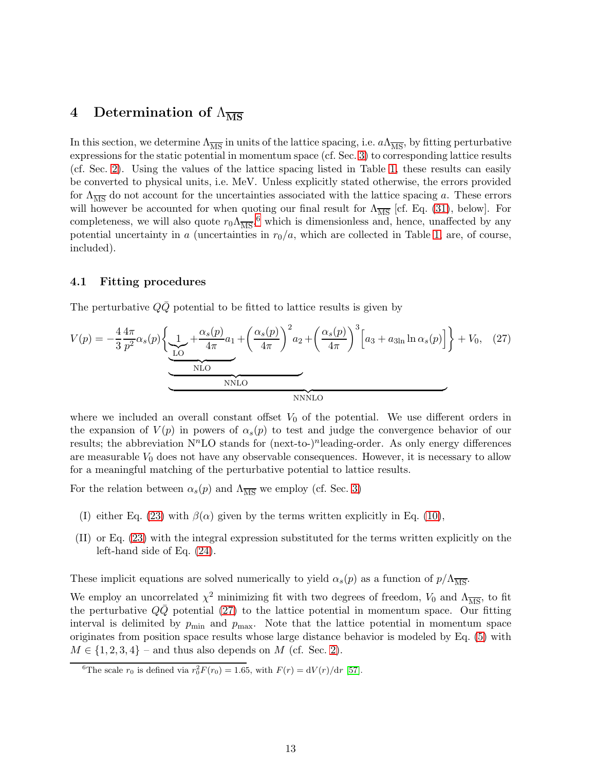# <span id="page-13-0"></span>4 Determination of  $\Lambda_{\overline{\rm MS}}$

In this section, we determine  $\Lambda_{\overline{MS}}$  in units of the lattice spacing, i.e.  $a\Lambda_{\overline{MS}}$ , by fitting perturbative expressions for the static potential in momentum space (cf. Sec. [3\)](#page-8-0) to corresponding lattice results (cf. Sec. [2\)](#page-4-0). Using the values of the lattice spacing listed in Table [1,](#page-5-0) these results can easily be converted to physical units, i.e. MeV. Unless explicitly stated otherwise, the errors provided for  $\Lambda_{\overline{\rm MS}}$  do not account for the uncertainties associated with the lattice spacing a. These errors will however be accounted for when quoting our final result for  $\Lambda_{\overline{\text{MS}}}$  [cf. Eq. [\(31\)](#page-21-0), below]. For completeness, we will also quote  $r_0 \Lambda_{\overline{\text{MS}}},^6$  $r_0 \Lambda_{\overline{\text{MS}}},^6$  which is dimensionless and, hence, unaffected by any potential uncertainty in a (uncertainties in  $r_0/a$ , which are collected in Table [1,](#page-5-0) are, of course, included).

#### 4.1 Fitting procedures

<span id="page-13-2"></span>The perturbative  $Q\bar{Q}$  potential to be fitted to lattice results is given by

$$
V(p) = -\frac{4}{3} \frac{4\pi}{p^2} \alpha_s(p) \left\{ \underbrace{1}_{\text{LO}} + \frac{\alpha_s(p)}{4\pi} a_1 + \left(\frac{\alpha_s(p)}{4\pi}\right)^2 a_2 + \left(\frac{\alpha_s(p)}{4\pi}\right)^3 \left[a_3 + a_{3\ln} \ln \alpha_s(p)\right] \right\} + V_0, \quad (27)
$$

where we included an overall constant offset  $V_0$  of the potential. We use different orders in the expansion of  $V(p)$  in powers of  $\alpha_s(p)$  to test and judge the convergence behavior of our results; the abbreviation  $N<sup>n</sup>LO$  stands for  $(next-to)<sup>n</sup>$  leading-order. As only energy differences are measurable  $V_0$  does not have any observable consequences. However, it is necessary to allow for a meaningful matching of the perturbative potential to lattice results.

For the relation between  $\alpha_s(p)$  and  $\Lambda_{\overline{\text{MS}}}$  we employ (cf. Sec. [3\)](#page-8-0)

- (I) either Eq. [\(23\)](#page-11-1) with  $\beta(\alpha)$  given by the terms written explicitly in Eq. [\(10\)](#page-8-5),
- (II) or Eq. [\(23\)](#page-11-1) with the integral expression substituted for the terms written explicitly on the left-hand side of Eq. [\(24\)](#page-11-2).

These implicit equations are solved numerically to yield  $\alpha_s(p)$  as a function of  $p/\Lambda_{\overline{MS}}$ .

We employ an uncorrelated  $\chi^2$  minimizing fit with two degrees of freedom,  $V_0$  and  $\Lambda_{\overline{\text{MS}}}$ , to fit the perturbative  $Q\overline{Q}$  potential [\(27\)](#page-13-2) to the lattice potential in momentum space. Our fitting interval is delimited by  $p_{\min}$  and  $p_{\max}$ . Note that the lattice potential in momentum space originates from position space results whose large distance behavior is modeled by Eq. [\(5\)](#page-6-0) with  $M \in \{1, 2, 3, 4\}$  – and thus also depends on M (cf. Sec. [2\)](#page-4-0).

<span id="page-13-1"></span><sup>&</sup>lt;sup>6</sup>The scale  $r_0$  is defined via  $r_0^2 F(r_0) = 1.65$ , with  $F(r) = dV(r)/dr$  [\[57\]](#page-26-8).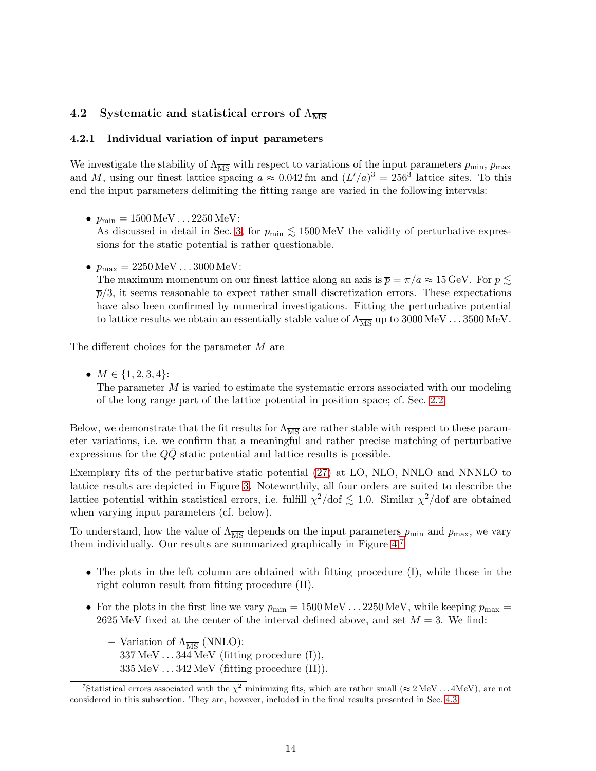#### <span id="page-14-1"></span>4.2 Systematic and statistical errors of  $\Lambda_{\overline{\text{MS}}}$

#### 4.2.1 Individual variation of input parameters

We investigate the stability of  $\Lambda_{\overline{\text{MS}}}$  with respect to variations of the input parameters  $p_{\text{min}}$ ,  $p_{\text{max}}$ and M, using our finest lattice spacing  $a \approx 0.042$  fm and  $(L'/a)^3 = 256^3$  lattice sites. To this end the input parameters delimiting the fitting range are varied in the following intervals:

•  $p_{\min} = 1500 \,\text{MeV} \dots 2250 \,\text{MeV}$ :

As discussed in detail in Sec. [3,](#page-8-0) for  $p_{\min} \lesssim 1500 \,\text{MeV}$  the validity of perturbative expressions for the static potential is rather questionable.

•  $p_{\text{max}} = 2250 \,\text{MeV} \dots 3000 \,\text{MeV}$ :

The maximum momentum on our finest lattice along an axis is  $\bar{p} = \pi/a \approx 15$  GeV. For  $p \lesssim$  $\bar{p}/3$ , it seems reasonable to expect rather small discretization errors. These expectations have also been confirmed by numerical investigations. Fitting the perturbative potential to lattice results we obtain an essentially stable value of  $\Lambda_{\overline{MS}}$  up to 3000 MeV . . . 3500 MeV.

The different choices for the parameter M are

•  $M \in \{1, 2, 3, 4\}$ :

The parameter  $M$  is varied to estimate the systematic errors associated with our modeling of the long range part of the lattice potential in position space; cf. Sec. [2.2.](#page-4-1)

Below, we demonstrate that the fit results for  $\Lambda_{\overline{MS}}$  are rather stable with respect to these parameter variations, i.e. we confirm that a meaningful and rather precise matching of perturbative expressions for the  $QQ$  static potential and lattice results is possible.

Exemplary fits of the perturbative static potential [\(27\)](#page-13-2) at LO, NLO, NNLO and NNNLO to lattice results are depicted in Figure [3.](#page-15-0) Noteworthily, all four orders are suited to describe the lattice potential within statistical errors, i.e. fulfill  $\chi^2/\text{dof} \lesssim 1.0$ . Similar  $\chi^2/\text{dof}$  are obtained when varying input parameters (cf. below).

To understand, how the value of  $\Lambda_{\overline{\text{MS}}}$  depends on the input parameters  $p_{\text{min}}$  and  $p_{\text{max}}$ , we vary them individually. Our results are summarized graphically in Figure  $4:7$  $4:7$ 

- The plots in the left column are obtained with fitting procedure (I), while those in the right column result from fitting procedure (II).
- For the plots in the first line we vary  $p_{\min} = 1500 \,\text{MeV} \dots 2250 \,\text{MeV}$ , while keeping  $p_{\max} =$ 2625 MeV fixed at the center of the interval defined above, and set  $M = 3$ . We find:
	- Variation of  $\Lambda_{\overline{\text{MS}}}$  (NNLO):  $337 \,\mathrm{MeV} \dots 344 \,\mathrm{MeV}$  (fitting procedure (I)),  $335 \,\text{MeV} \dots 342 \,\text{MeV}$  (fitting procedure (II)).

<span id="page-14-0"></span><sup>&</sup>lt;sup>7</sup>Statistical errors associated with the  $\chi^2$  minimizing fits, which are rather small ( $\approx 2 \text{ MeV} \dots 4 \text{ MeV}$ ), are not considered in this subsection. They are, however, included in the final results presented in Sec. [4.3.](#page-21-1)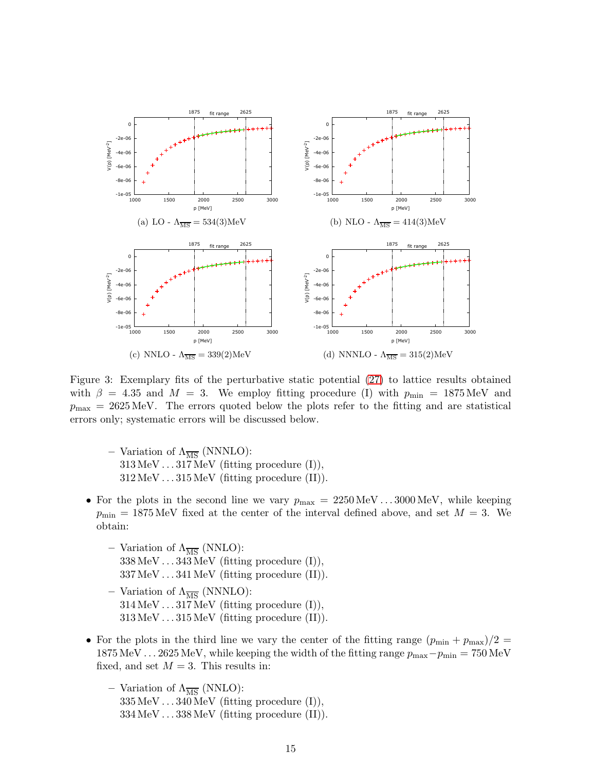

<span id="page-15-0"></span>Figure 3: Exemplary fits of the perturbative static potential [\(27\)](#page-13-2) to lattice results obtained with  $\beta = 4.35$  and  $M = 3$ . We employ fitting procedure (I) with  $p_{\text{min}} = 1875 \text{ MeV}$  and  $p_{\text{max}} = 2625 \,\text{MeV}$ . The errors quoted below the plots refer to the fitting and are statistical errors only; systematic errors will be discussed below.

- Variation of  $\Lambda_{\overline{\text{MS}}}$  (NNNLO):  $313 \,\text{MeV} \dots 317 \,\text{MeV}$  (fitting procedure (I)),  $312 \,\mathrm{MeV} \dots 315 \,\mathrm{MeV}$  (fitting procedure (II)).
- For the plots in the second line we vary  $p_{\text{max}} = 2250 \,\text{MeV} \dots 3000 \,\text{MeV}$ , while keeping  $p_{\text{min}} = 1875 \,\text{MeV}$  fixed at the center of the interval defined above, and set  $M = 3$ . We obtain:
	- Variation of  $\Lambda_{\overline{\text{MS}}}$  (NNLO):  $338 \,\text{MeV} \dots 343 \,\text{MeV}$  (fitting procedure (I)), 337 MeV . . . 341 MeV (fitting procedure (II)).
	- Variation of  $\Lambda_{\overline{\text{MS}}}$  (NNNLO):  $314 \,\text{MeV} \dots 317 \,\text{MeV}$  (fitting procedure (I)),  $313 \,\text{MeV} \dots 315 \,\text{MeV}$  (fitting procedure (II)).
- For the plots in the third line we vary the center of the fitting range  $(p_{\min} + p_{\max})/2 =$ 1875 MeV . . . 2625 MeV, while keeping the width of the fitting range  $p_{\text{max}}-p_{\text{min}} = 750 \text{ MeV}$ fixed, and set  $M = 3$ . This results in:
	- Variation of  $\Lambda_{\overline{\text{MS}}}$  (NNLO):  $335 \,\text{MeV} \dots 340 \,\text{MeV}$  (fitting procedure (I)),  $334 \,\text{MeV} \dots 338 \,\text{MeV}$  (fitting procedure (II)).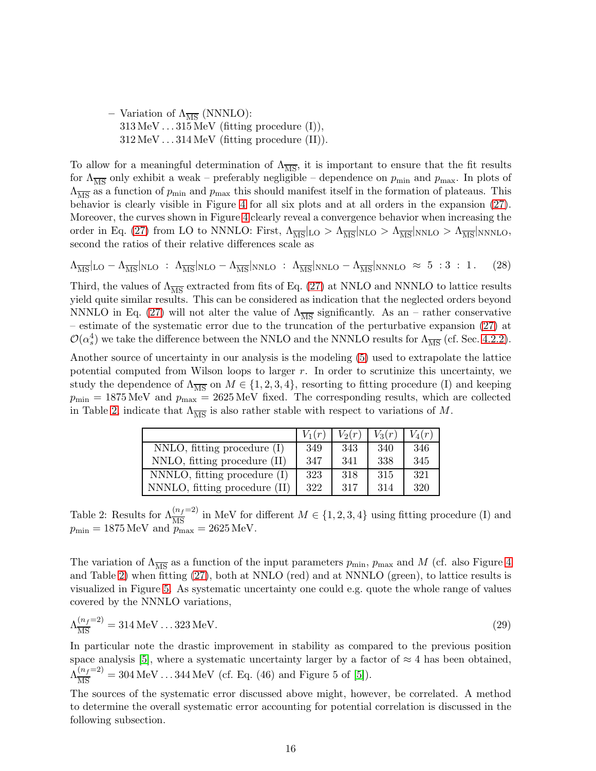– Variation of  $\Lambda_{\overline{\text{MS}}}$  (NNNLO):  $313 \,\text{MeV} \dots 315 \,\text{MeV}$  (fitting procedure (I)),  $312 \,\mathrm{MeV} \dots 314 \,\mathrm{MeV}$  (fitting procedure (II)).

To allow for a meaningful determination of  $\Lambda_{\overline{\rm MS}}$ , it is important to ensure that the fit results for  $\Lambda_{\overline{\rm MS}}$  only exhibit a weak – preferably negligible – dependence on  $p_{\rm min}$  and  $p_{\rm max}$ . In plots of  $\Lambda_{\overline{\rm MS}}$  as a function of  $p_{\rm min}$  and  $p_{\rm max}$  this should manifest itself in the formation of plateaus. This behavior is clearly visible in Figure [4](#page-17-0) for all six plots and at all orders in the expansion [\(27\)](#page-13-2). Moreover, the curves shown in Figure [4](#page-17-0) clearly reveal a convergence behavior when increasing the order in Eq. [\(27\)](#page-13-2) from LO to NNNLO: First,  $\Lambda_{\overline{\rm MS}}|_{\rm LO} > \Lambda_{\overline{\rm MS}}|_{\rm NLO} > \Lambda_{\overline{\rm MS}}|_{\rm NNLO} > \Lambda_{\overline{\rm MS}}|_{\rm NNNLO}$ , second the ratios of their relative differences scale as

$$
\Lambda_{\overline{\rm MS}}|_{\rm LO} - \Lambda_{\overline{\rm MS}}|_{\rm NLO} : \Lambda_{\overline{\rm MS}}|_{\rm NLO} - \Lambda_{\overline{\rm MS}}|_{\rm NNLO} : \Lambda_{\overline{\rm MS}}|_{\rm NNLO} - \Lambda_{\overline{\rm MS}}|_{\rm NNNLO} \approx 5 :3 :1. \tag{28}
$$

Third, the values of  $\Lambda_{\overline{\rm MS}}$  extracted from fits of Eq. [\(27\)](#page-13-2) at NNLO and NNNLO to lattice results yield quite similar results. This can be considered as indication that the neglected orders beyond NNNLO in Eq. [\(27\)](#page-13-2) will not alter the value of  $\Lambda_{\overline{MS}}$  significantly. As an – rather conservative – estimate of the systematic error due to the truncation of the perturbative expansion [\(27\)](#page-13-2) at  $\mathcal{O}(\alpha_s^4)$  we take the difference between the NNLO and the NNNLO results for  $\Lambda_{\overline{\rm MS}}$  (cf. Sec. [4.2.2\)](#page-18-0).

Another source of uncertainty in our analysis is the modeling [\(5\)](#page-6-0) used to extrapolate the lattice potential computed from Wilson loops to larger  $r$ . In order to scrutinize this uncertainty, we study the dependence of  $\Lambda_{\overline{\text{MS}}}$  on  $M \in \{1, 2, 3, 4\}$ , resorting to fitting procedure (I) and keeping  $p_{\min} = 1875 \,\text{MeV}$  and  $p_{\max} = 2625 \,\text{MeV}$  fixed. The corresponding results, which are collected in Table [2,](#page-16-0) indicate that  $\Lambda_{\overline{\text{MS}}}$  is also rather stable with respect to variations of M.

|                                  | $V_1(r)$ | $V_2(r)$ | $V_3(r)$ | $V_4(r)$ |
|----------------------------------|----------|----------|----------|----------|
| $NNLO$ , fitting procedure $(I)$ | 349      | 343      | 340      | 346      |
| NNLO, fitting procedure (II)     | 347      | 341      | 338      | 345      |
| NNNLO, fitting procedure (I)     | 323      | 318      | 315      | 321      |
| NNNLO, fitting procedure (II)    | 322      | 317      | 314      | 320      |

<span id="page-16-0"></span>Table 2: Results for  $\Lambda^{(n_f=2)}_{\overline{MS}}$  in MeV for different  $M \in \{1, 2, 3, 4\}$  using fitting procedure (I) and  $p_{\min} = 1875 \,\text{MeV}$  and  $p_{\max} = 2625 \,\text{MeV}$ .

The variation of  $\Lambda_{\overline{MS}}$  as a function of the input parameters  $p_{\min}$ ,  $p_{\max}$  and M (cf. also Figure [4](#page-17-0) and Table [2\)](#page-16-0) when fitting [\(27\)](#page-13-2), both at NNLO (red) and at NNNLO (green), to lattice results is visualized in Figure [5.](#page-18-1) As systematic uncertainty one could e.g. quote the whole range of values covered by the NNNLO variations,

$$
\Lambda_{\overline{\rm MS}}^{(n_f=2)} = 314 \,\text{MeV} \dots 323 \,\text{MeV}.\tag{29}
$$

In particular note the drastic improvement in stability as compared to the previous position space analysis [\[5\]](#page-23-4), where a systematic uncertainty larger by a factor of  $\approx 4$  has been obtained,  $\Lambda_{\overline{\rm MS}}^{(n_f=2)} = 304 \,\mathrm{MeV} \dots 344 \,\mathrm{MeV}$  (cf. Eq. (46) and Figure 5 of [\[5\]](#page-23-4)).

The sources of the systematic error discussed above might, however, be correlated. A method to determine the overall systematic error accounting for potential correlation is discussed in the following subsection.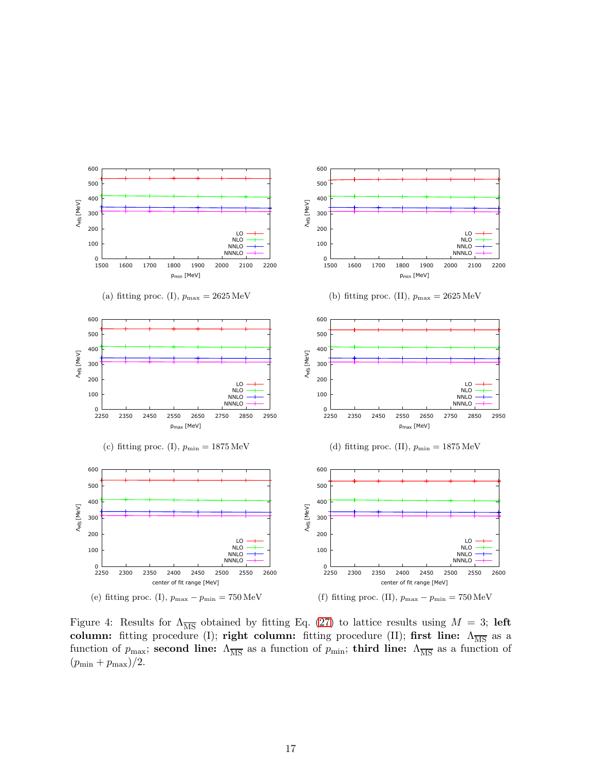

<span id="page-17-0"></span>Figure 4: Results for  $\Lambda_{\overline{\rm MS}}$  obtained by fitting Eq. [\(27\)](#page-13-2) to lattice results using  $M = 3$ ; left column: fitting procedure (I); right column: fitting procedure (II); first line:  $\Lambda_{\overline{\rm MS}}$  as a function of  $p_{\text{max}}$ ; second line:  $\Lambda_{\overline{\text{MS}}}$  as a function of  $p_{\text{min}}$ ; third line:  $\Lambda_{\overline{\text{MS}}}$  as a function of  $(p_{\min} + p_{\max})/2$ .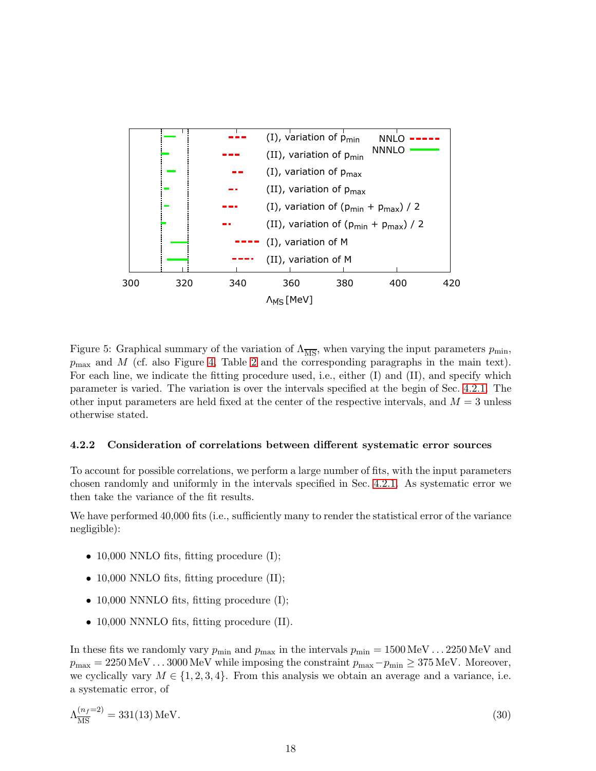

<span id="page-18-1"></span>Figure 5: Graphical summary of the variation of  $\Lambda_{\overline{\rm MS}}$ , when varying the input parameters  $p_{\rm min}$ ,  $p_{\text{max}}$  and M (cf. also Figure [4,](#page-17-0) Table [2](#page-16-0) and the corresponding paragraphs in the main text). For each line, we indicate the fitting procedure used, i.e., either (I) and (II), and specify which parameter is varied. The variation is over the intervals specified at the begin of Sec. [4.2.1.](#page-14-1) The other input parameters are held fixed at the center of the respective intervals, and  $M = 3$  unless otherwise stated.

#### <span id="page-18-0"></span>4.2.2 Consideration of correlations between different systematic error sources

To account for possible correlations, we perform a large number of fits, with the input parameters chosen randomly and uniformly in the intervals specified in Sec. [4.2.1.](#page-14-1) As systematic error we then take the variance of the fit results.

We have performed 40,000 fits (i.e., sufficiently many to render the statistical error of the variance negligible):

- 10,000 NNLO fits, fitting procedure  $(I);$
- 10,000 NNLO fits, fitting procedure (II);
- 10,000 NNNLO fits, fitting procedure  $(I)$ ;
- 10,000 NNNLO fits, fitting procedure (II).

In these fits we randomly vary  $p_{\min}$  and  $p_{\max}$  in the intervals  $p_{\min} = 1500 \,\text{MeV} \dots 2250 \,\text{MeV}$  and  $p_{\text{max}} = 2250 \text{ MeV} \dots 3000 \text{ MeV}$  while imposing the constraint  $p_{\text{max}} - p_{\text{min}} \ge 375 \text{ MeV}$ . Moreover, we cyclically vary  $M \in \{1, 2, 3, 4\}$ . From this analysis we obtain an average and a variance, i.e. a systematic error, of

$$
\Lambda_{\overline{\rm MS}}^{(n_f=2)} = 331(13) \,\text{MeV} \,. \tag{30}
$$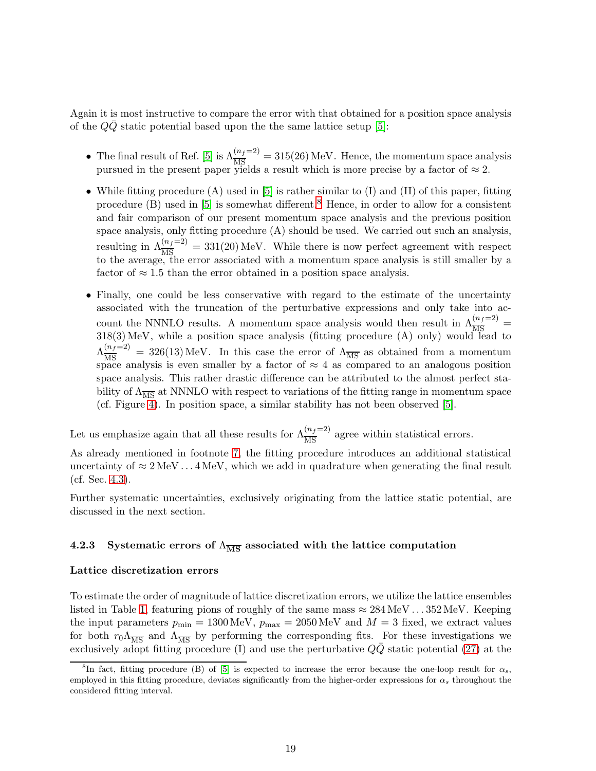Again it is most instructive to compare the error with that obtained for a position space analysis of the  $QQ$  static potential based upon the the same lattice setup [\[5\]](#page-23-4):

- The final result of Ref. [\[5\]](#page-23-4) is  $\Lambda_{\overline{\rm MS}}^{(n_f=2)} = 315(26)$  MeV. Hence, the momentum space analysis pursued in the present paper yields a result which is more precise by a factor of  $\approx 2$ .
- While fitting procedure (A) used in  $[5]$  is rather similar to (I) and (II) of this paper, fitting procedure (B) used in [\[5\]](#page-23-4) is somewhat different.<sup>[8](#page-19-0)</sup> Hence, in order to allow for a consistent and fair comparison of our present momentum space analysis and the previous position space analysis, only fitting procedure (A) should be used. We carried out such an analysis, resulting in  $\Lambda_{\overline{\rm MS}}^{(n_f=2)} = 331(20)$  MeV. While there is now perfect agreement with respect to the average, the error associated with a momentum space analysis is still smaller by a factor of  $\approx 1.5$  than the error obtained in a position space analysis.
- Finally, one could be less conservative with regard to the estimate of the uncertainty associated with the truncation of the perturbative expressions and only take into account the NNNLO results. A momentum space analysis would then result in  $\Lambda_{\overline{MS}}^{(n_f=2)}$  = 318(3) MeV, while a position space analysis (fitting procedure (A) only) would lead to  $\Lambda_{\overline{\rm MS}}^{(n_f=2)} = 326(13) \,\text{MeV}$ . In this case the error of  $\Lambda_{\overline{\rm MS}}$  as obtained from a momentum space analysis is even smaller by a factor of  $\approx 4$  as compared to an analogous position space analysis. This rather drastic difference can be attributed to the almost perfect stability of  $\Lambda_{\overline{MS}}$  at NNNLO with respect to variations of the fitting range in momentum space (cf. Figure [4\)](#page-17-0). In position space, a similar stability has not been observed [\[5\]](#page-23-4).

Let us emphasize again that all these results for  $\Lambda_{\overline{\rm MS}}^{(n_f=2)}$  agree within statistical errors.

As already mentioned in footnote [7,](#page-14-0) the fitting procedure introduces an additional statistical uncertainty of  $\approx 2 \text{ MeV} \dots 4 \text{ MeV}$ , which we add in quadrature when generating the final result (cf. Sec. [4.3\)](#page-21-1).

Further systematic uncertainties, exclusively originating from the lattice static potential, are discussed in the next section.

#### <span id="page-19-1"></span>4.2.3 Systematic errors of  $\Lambda_{\overline{\text{MS}}}$  associated with the lattice computation

#### Lattice discretization errors

To estimate the order of magnitude of lattice discretization errors, we utilize the lattice ensembles listed in Table [1,](#page-5-0) featuring pions of roughly of the same mass  $\approx 284 \,\text{MeV} \dots 352 \,\text{MeV}$ . Keeping the input parameters  $p_{\text{min}} = 1300 \text{ MeV}$ ,  $p_{\text{max}} = 2050 \text{ MeV}$  and  $M = 3$  fixed, we extract values for both  $r_0\Lambda_{\overline{\rm MS}}$  and  $\Lambda_{\overline{\rm MS}}$  by performing the corresponding fits. For these investigations we exclusively adopt fitting procedure (I) and use the perturbative  $Q\bar{Q}$  static potential [\(27\)](#page-13-2) at the

<span id="page-19-0"></span><sup>&</sup>lt;sup>8</sup>In fact, fitting procedure (B) of [\[5\]](#page-23-4) is expected to increase the error because the one-loop result for  $\alpha_s$ , employed in this fitting procedure, deviates significantly from the higher-order expressions for  $\alpha_s$  throughout the considered fitting interval.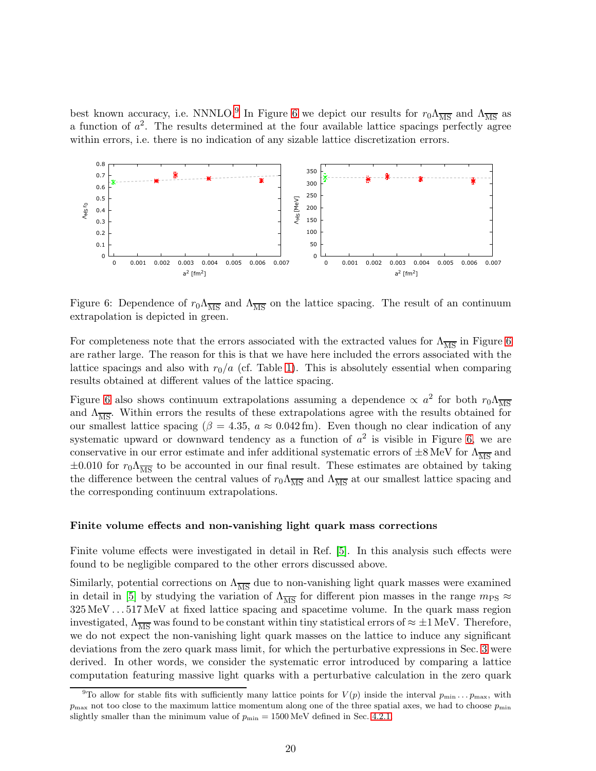best known accuracy, i.e. NNNLO.<sup>[9](#page-20-0)</sup> In Figure [6](#page-20-1) we depict our results for  $r_0\Lambda_{\overline{\rm MS}}$  and  $\Lambda_{\overline{\rm MS}}$  as a function of  $a^2$ . The results determined at the four available lattice spacings perfectly agree within errors, i.e. there is no indication of any sizable lattice discretization errors.



<span id="page-20-1"></span>Figure 6: Dependence of  $r_0 \Lambda_{\overline{\rm MS}}$  and  $\Lambda_{\overline{\rm MS}}$  on the lattice spacing. The result of an continuum extrapolation is depicted in green.

For completeness note that the errors associated with the extracted values for  $\Lambda_{\overline{MS}}$  in Figure [6](#page-20-1) are rather large. The reason for this is that we have here included the errors associated with the lattice spacings and also with  $r_0/a$  (cf. Table [1\)](#page-5-0). This is absolutely essential when comparing results obtained at different values of the lattice spacing.

Figure [6](#page-20-1) also shows continuum extrapolations assuming a dependence  $\propto a^2$  for both  $r_0 \Lambda_{\overline{\rm MS}}$ and  $\Lambda_{\overline{\text{MS}}}$ . Within errors the results of these extrapolations agree with the results obtained for our smallest lattice spacing ( $\beta = 4.35$ ,  $a \approx 0.042$  fm). Even though no clear indication of any systematic upward or downward tendency as a function of  $a^2$  is visible in Figure [6,](#page-20-1) we are conservative in our error estimate and infer additional systematic errors of  $\pm 8 \,\text{MeV}$  for  $\Lambda_{\overline{\text{MS}}}$  and  $\pm 0.010$  for  $r_0 \Lambda_{\overline{MS}}$  to be accounted in our final result. These estimates are obtained by taking the difference between the central values of  $r_0 \Lambda_{\overline{MS}}$  and  $\Lambda_{\overline{MS}}$  at our smallest lattice spacing and the corresponding continuum extrapolations.

#### Finite volume effects and non-vanishing light quark mass corrections

Finite volume effects were investigated in detail in Ref. [\[5\]](#page-23-4). In this analysis such effects were found to be negligible compared to the other errors discussed above.

Similarly, potential corrections on  $\Lambda_{\overline{MS}}$  due to non-vanishing light quark masses were examined in detail in [\[5\]](#page-23-4) by studying the variation of  $\Lambda_{\overline{MS}}$  for different pion masses in the range  $m_{PS} \approx$ 325 MeV . . . 517 MeV at fixed lattice spacing and spacetime volume. In the quark mass region investigated,  $\Lambda_{\overline{MS}}$  was found to be constant within tiny statistical errors of  $\approx \pm 1$  MeV. Therefore, we do not expect the non-vanishing light quark masses on the lattice to induce any significant deviations from the zero quark mass limit, for which the perturbative expressions in Sec. [3](#page-8-0) were derived. In other words, we consider the systematic error introduced by comparing a lattice computation featuring massive light quarks with a perturbative calculation in the zero quark

<span id="page-20-0"></span><sup>&</sup>lt;sup>9</sup>To allow for stable fits with sufficiently many lattice points for  $V(p)$  inside the interval  $p_{\min} \ldots p_{\max}$ , with  $p_{\text{max}}$  not too close to the maximum lattice momentum along one of the three spatial axes, we had to choose  $p_{\text{min}}$ slightly smaller than the minimum value of  $p_{\min} = 1500 \text{ MeV}$  defined in Sec. [4.2.1.](#page-14-1)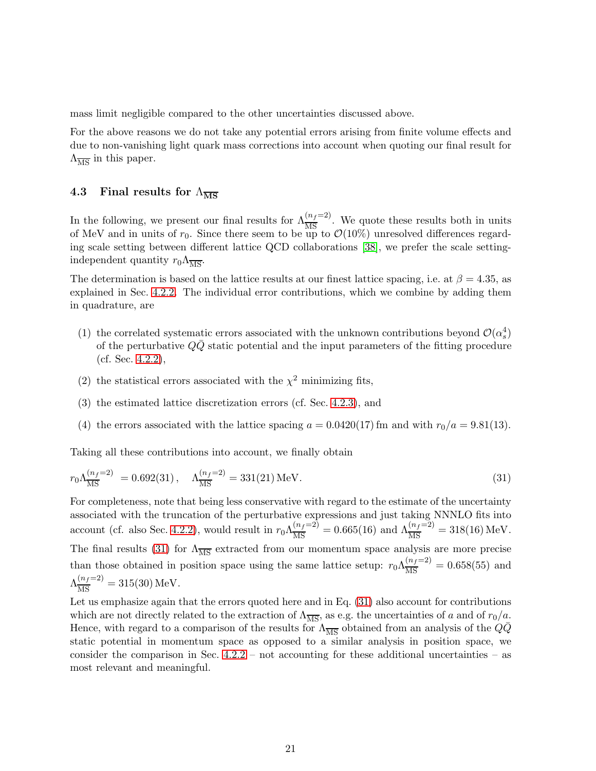mass limit negligible compared to the other uncertainties discussed above.

For the above reasons we do not take any potential errors arising from finite volume effects and due to non-vanishing light quark mass corrections into account when quoting our final result for  $\Lambda_{\overline{\text{MS}}}$  in this paper.

#### <span id="page-21-1"></span>4.3 Final results for  $\Lambda_{\overline{\text{MS}}}$

In the following, we present our final results for  $\Lambda_{\overline{\rm MS}}^{(n_f=2)}$ . We quote these results both in units of MeV and in units of  $r_0$ . Since there seem to be up to  $\mathcal{O}(10\%)$  unresolved differences regarding scale setting between different lattice QCD collaborations [\[38\]](#page-25-7), we prefer the scale settingindependent quantity  $r_0 \Lambda_{\overline{\text{MS}}}$ .

The determination is based on the lattice results at our finest lattice spacing, i.e. at  $\beta = 4.35$ , as explained in Sec. [4.2.2.](#page-18-0) The individual error contributions, which we combine by adding them in quadrature, are

- (1) the correlated systematic errors associated with the unknown contributions beyond  $\mathcal{O}(\alpha_s^4)$ of the perturbative  $QQ$  static potential and the input parameters of the fitting procedure (cf. Sec. [4.2.2\)](#page-18-0),
- (2) the statistical errors associated with the  $\chi^2$  minimizing fits,
- (3) the estimated lattice discretization errors (cf. Sec. [4.2.3\)](#page-19-1), and
- <span id="page-21-0"></span>(4) the errors associated with the lattice spacing  $a = 0.0420(17)$  fm and with  $r_0/a = 9.81(13)$ .

Taking all these contributions into account, we finally obtain

$$
r_0 \Lambda_{\overline{\rm MS}}^{(n_f=2)} = 0.692(31), \quad \Lambda_{\overline{\rm MS}}^{(n_f=2)} = 331(21) \,\text{MeV}.
$$
 (31)

For completeness, note that being less conservative with regard to the estimate of the uncertainty associated with the truncation of the perturbative expressions and just taking NNNLO fits into account (cf. also Sec. [4.2.2\)](#page-18-0), would result in  $r_0 \Lambda_{\overline{\rm MS}}^{(n_f=2)} = 0.665(16)$  and  $\Lambda_{\overline{\rm MS}}^{(n_f=2)} = 318(16) \,\text{MeV}$ . The final results [\(31\)](#page-21-0) for  $\Lambda_{\overline{\text{MS}}}$  extracted from our momentum space analysis are more precise than those obtained in position space using the same lattice setup:  $r_0 \Lambda_{\overline{\rm MS}}^{(n_f=2)} = 0.658(55)$  and  $\Lambda_{\overline{\rm MS}}^{(n_f=2)} = 315(30)$  MeV.

Let us emphasize again that the errors quoted here and in Eq. [\(31\)](#page-21-0) also account for contributions which are not directly related to the extraction of  $\Lambda_{\overline{\text{MS}}}$ , as e.g. the uncertainties of a and of  $r_0/a$ . Hence, with regard to a comparison of the results for  $\Lambda_{\overline{\rm MS}}$  obtained from an analysis of the  $Q\overline{Q}$ static potential in momentum space as opposed to a similar analysis in position space, we consider the comparison in Sec.  $4.2.2$  – not accounting for these additional uncertainties – as most relevant and meaningful.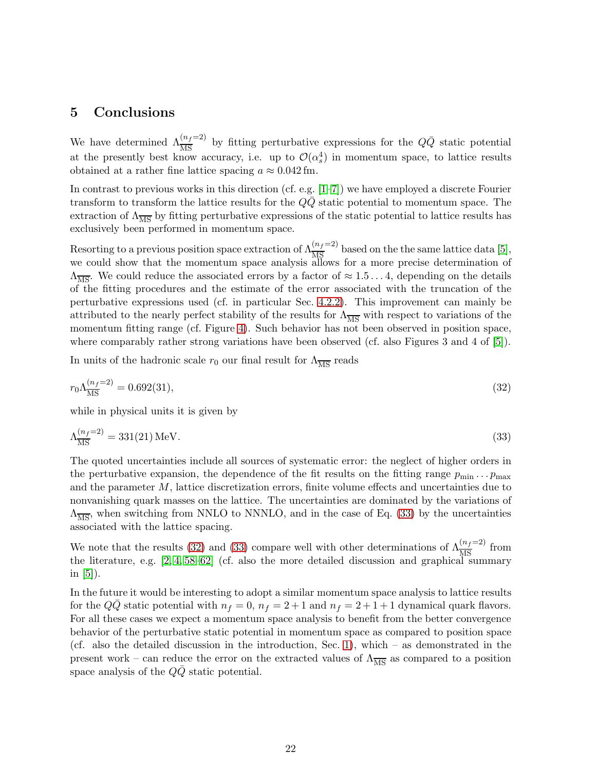### <span id="page-22-0"></span>5 Conclusions

We have determined  $\Lambda_{\overline{\rm MS}}^{(n_f=2)}$  by fitting perturbative expressions for the  $Q\bar{Q}$  static potential at the presently best know accuracy, i.e. up to  $\mathcal{O}(\alpha_s^4)$  in momentum space, to lattice results obtained at a rather fine lattice spacing  $a \approx 0.042$  fm.

In contrast to previous works in this direction (cf. e.g.  $[1-7]$ ) we have employed a discrete Fourier transform to transform the lattice results for the  $QQ$  static potential to momentum space. The extraction of  $\Lambda_{\overline{\text{MS}}}$  by fitting perturbative expressions of the static potential to lattice results has exclusively been performed in momentum space.

Resorting to a previous position space extraction of  $\Lambda_{\overline{\rm MS}}^{(n_f=2)}$  based on the the same lattice data [\[5\]](#page-23-4), we could show that the momentum space analysis allows for a more precise determination of  $\Lambda_{\overline{\text{MS}}}$ . We could reduce the associated errors by a factor of  $\approx 1.5 \ldots 4$ , depending on the details of the fitting procedures and the estimate of the error associated with the truncation of the perturbative expressions used (cf. in particular Sec. [4.2.2\)](#page-18-0). This improvement can mainly be attributed to the nearly perfect stability of the results for  $\Lambda_{\overline{MS}}$  with respect to variations of the momentum fitting range (cf. Figure [4\)](#page-17-0). Such behavior has not been observed in position space, where comparably rather strong variations have been observed (cf. also Figures 3 and 4 of [\[5\]](#page-23-4)).

<span id="page-22-2"></span>In units of the hadronic scale  $r_0$  our final result for  $\Lambda_{\overline{\text{MS}}}$  reads

$$
r_0 \Lambda_{\overline{\rm MS}}^{(n_f=2)} = 0.692(31),\tag{32}
$$

<span id="page-22-1"></span>while in physical units it is given by

$$
\Lambda_{\overline{\rm MS}}^{(n_f=2)} = 331(21) \,\text{MeV} \,. \tag{33}
$$

The quoted uncertainties include all sources of systematic error: the neglect of higher orders in the perturbative expansion, the dependence of the fit results on the fitting range  $p_{\min} \dots p_{\max}$ and the parameter  $M$ , lattice discretization errors, finite volume effects and uncertainties due to nonvanishing quark masses on the lattice. The uncertainties are dominated by the variations of  $\Lambda_{\overline{\text{MS}}}$ , when switching from NNLO to NNNLO, and in the case of Eq. [\(33\)](#page-22-1) by the uncertainties associated with the lattice spacing.

We note that the results [\(32\)](#page-22-2) and [\(33\)](#page-22-1) compare well with other determinations of  $\Lambda_{\overline{MS}}^{(n_f=2)}$  from the literature, e.g.  $[2, 4, 58-62]$  $[2, 4, 58-62]$  $[2, 4, 58-62]$  $[2, 4, 58-62]$  (cf. also the more detailed discussion and graphical summary in  $[5]$ ).

In the future it would be interesting to adopt a similar momentum space analysis to lattice results for the  $Q\overline{Q}$  static potential with  $n_f = 0$ ,  $n_f = 2 + 1$  and  $n_f = 2 + 1 + 1$  dynamical quark flavors. For all these cases we expect a momentum space analysis to benefit from the better convergence behavior of the perturbative static potential in momentum space as compared to position space (cf. also the detailed discussion in the introduction, Sec. [1\)](#page-1-1), which – as demonstrated in the present work – can reduce the error on the extracted values of  $\Lambda_{\overline{MS}}$  as compared to a position space analysis of the  $Q\bar{Q}$  static potential.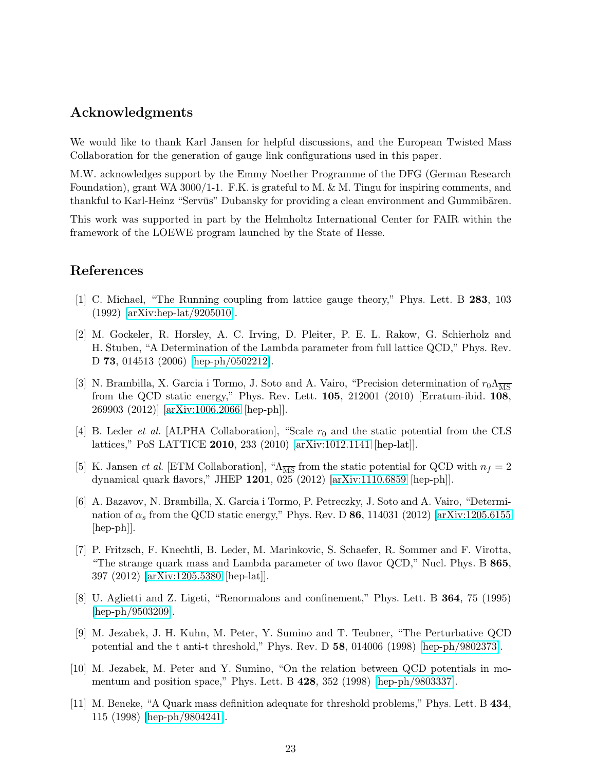## Acknowledgments

We would like to thank Karl Jansen for helpful discussions, and the European Twisted Mass Collaboration for the generation of gauge link configurations used in this paper.

M.W. acknowledges support by the Emmy Noether Programme of the DFG (German Research Foundation), grant WA  $3000/1$ -1. F.K. is grateful to M. & M. Tingu for inspiring comments, and thankful to Karl-Heinz "Servūs" Dubansky for providing a clean environment and Gummibären.

This work was supported in part by the Helmholtz International Center for FAIR within the framework of the LOEWE program launched by the State of Hesse.

## <span id="page-23-0"></span>References

- [1] C. Michael, "The Running coupling from lattice gauge theory," Phys. Lett. B 283, 103 (1992) [\[arXiv:hep-lat/9205010\]](http://arxiv.org/abs/hep-lat/9205010).
- <span id="page-23-6"></span>[2] M. Gockeler, R. Horsley, A. C. Irving, D. Pleiter, P. E. L. Rakow, G. Schierholz and H. Stuben, "A Determination of the Lambda parameter from full lattice QCD," Phys. Rev. D 73, 014513 (2006) [\[hep-ph/0502212\]](http://arxiv.org/abs/hep-ph/0502212).
- <span id="page-23-5"></span>[3] N. Brambilla, X. Garcia i Tormo, J. Soto and A. Vairo, "Precision determination of  $r_0\Lambda_{\overline{\rm MS}}$ from the QCD static energy," Phys. Rev. Lett. 105, 212001 (2010) [Erratum-ibid. 108, 269903 (2012)] [\[arXiv:1006.2066](http://arxiv.org/abs/1006.2066) [hep-ph]].
- <span id="page-23-7"></span><span id="page-23-4"></span>[4] B. Leder *et al.* [ALPHA Collaboration], "Scale  $r_0$  and the static potential from the CLS lattices," PoS LATTICE 2010, 233 (2010) [\[arXiv:1012.1141](http://arxiv.org/abs/1012.1141) [hep-lat]].
- [5] K. Jansen *et al.* [ETM Collaboration], " $\Lambda_{\overline{MS}}$  from the static potential for QCD with  $n_f = 2$ dynamical quark flavors," JHEP 1201, 025 (2012) [\[arXiv:1110.6859](http://arxiv.org/abs/1110.6859) [hep-ph]].
- [6] A. Bazavov, N. Brambilla, X. Garcia i Tormo, P. Petreczky, J. Soto and A. Vairo, "Determination of  $\alpha_s$  from the QCD static energy," Phys. Rev. D 86, 114031 (2012) [\[arXiv:1205.6155](http://arxiv.org/abs/1205.6155) [hep-ph]].
- <span id="page-23-1"></span>[7] P. Fritzsch, F. Knechtli, B. Leder, M. Marinkovic, S. Schaefer, R. Sommer and F. Virotta, "The strange quark mass and Lambda parameter of two flavor QCD," Nucl. Phys. B 865, 397 (2012) [\[arXiv:1205.5380](http://arxiv.org/abs/1205.5380) [hep-lat]].
- <span id="page-23-2"></span>[8] U. Aglietti and Z. Ligeti, "Renormalons and confinement," Phys. Lett. B 364, 75 (1995) [\[hep-ph/9503209\]](http://arxiv.org/abs/hep-ph/9503209).
- [9] M. Jezabek, J. H. Kuhn, M. Peter, Y. Sumino and T. Teubner, "The Perturbative QCD potential and the t anti-t threshold," Phys. Rev. D 58, 014006 (1998) [\[hep-ph/9802373\]](http://arxiv.org/abs/hep-ph/9802373).
- [10] M. Jezabek, M. Peter and Y. Sumino, "On the relation between QCD potentials in momentum and position space," Phys. Lett. B 428, 352 (1998) [\[hep-ph/9803337\]](http://arxiv.org/abs/hep-ph/9803337).
- <span id="page-23-3"></span>[11] M. Beneke, "A Quark mass definition adequate for threshold problems," Phys. Lett. B 434, 115 (1998) [\[hep-ph/9804241\]](http://arxiv.org/abs/hep-ph/9804241).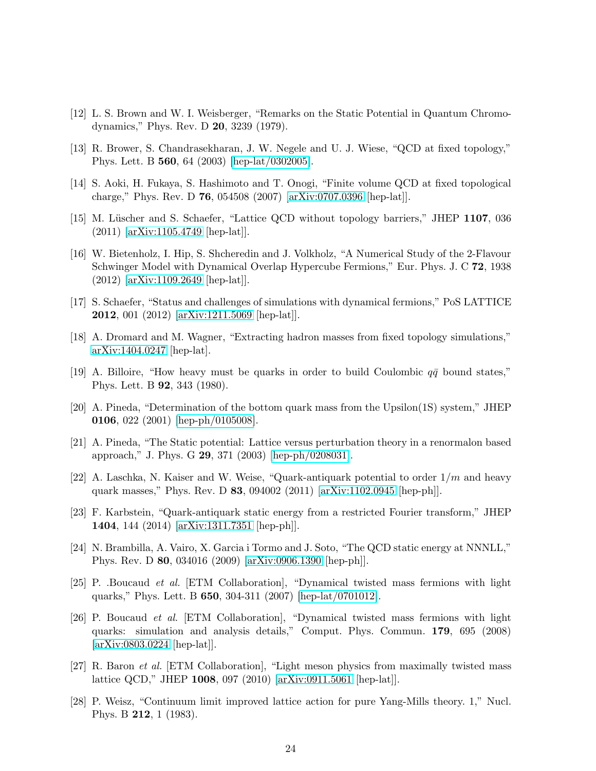- <span id="page-24-1"></span><span id="page-24-0"></span>[12] L. S. Brown and W. I. Weisberger, "Remarks on the Static Potential in Quantum Chromodynamics," Phys. Rev. D 20, 3239 (1979).
- [13] R. Brower, S. Chandrasekharan, J. W. Negele and U. J. Wiese, "QCD at fixed topology," Phys. Lett. B 560, 64 (2003) [\[hep-lat/0302005\]](http://arxiv.org/abs/hep-lat/0302005).
- [14] S. Aoki, H. Fukaya, S. Hashimoto and T. Onogi, "Finite volume QCD at fixed topological charge," Phys. Rev. D 76, 054508 (2007) [\[arXiv:0707.0396](http://arxiv.org/abs/0707.0396) [hep-lat]].
- [15] M. Lüscher and S. Schaefer, "Lattice QCD without topology barriers," JHEP 1107, 036 (2011) [\[arXiv:1105.4749](http://arxiv.org/abs/1105.4749) [hep-lat]].
- [16] W. Bietenholz, I. Hip, S. Shcheredin and J. Volkholz, "A Numerical Study of the 2-Flavour Schwinger Model with Dynamical Overlap Hypercube Fermions," Eur. Phys. J. C 72, 1938 (2012) [\[arXiv:1109.2649](http://arxiv.org/abs/1109.2649) [hep-lat]].
- [17] S. Schaefer, "Status and challenges of simulations with dynamical fermions," PoS LATTICE 2012, 001 (2012) [\[arXiv:1211.5069](http://arxiv.org/abs/1211.5069) [hep-lat]].
- <span id="page-24-2"></span>[18] A. Dromard and M. Wagner, "Extracting hadron masses from fixed topology simulations," [arXiv:1404.0247](http://arxiv.org/abs/1404.0247) [hep-lat].
- <span id="page-24-4"></span><span id="page-24-3"></span>[19] A. Billoire, "How heavy must be quarks in order to build Coulombic  $q\bar{q}$  bound states," Phys. Lett. B 92, 343 (1980).
- [20] A. Pineda, "Determination of the bottom quark mass from the Upsilon(1S) system," JHEP 0106, 022 (2001) [\[hep-ph/0105008\]](http://arxiv.org/abs/hep-ph/0105008).
- [21] A. Pineda, "The Static potential: Lattice versus perturbation theory in a renormalon based approach," J. Phys. G 29, 371 (2003) [\[hep-ph/0208031\]](http://arxiv.org/abs/hep-ph/0208031).
- [22] A. Laschka, N. Kaiser and W. Weise, "Quark-antiquark potential to order  $1/m$  and heavy quark masses," Phys. Rev. D 83, 094002 (2011) [\[arXiv:1102.0945](http://arxiv.org/abs/1102.0945) [hep-ph]].
- <span id="page-24-5"></span>[23] F. Karbstein, "Quark-antiquark static energy from a restricted Fourier transform," JHEP 1404, 144 (2014) [\[arXiv:1311.7351](http://arxiv.org/abs/1311.7351) [hep-ph]].
- <span id="page-24-6"></span>[24] N. Brambilla, A. Vairo, X. Garcia i Tormo and J. Soto, "The QCD static energy at NNNLL," Phys. Rev. D 80, 034016 (2009) [\[arXiv:0906.1390](http://arxiv.org/abs/0906.1390) [hep-ph]].
- <span id="page-24-7"></span>[25] P. .Boucaud et al. [ETM Collaboration], "Dynamical twisted mass fermions with light quarks," Phys. Lett. B 650, 304-311 (2007) [\[hep-lat/0701012\]](http://arxiv.org/abs/hep-lat/0701012).
- <span id="page-24-10"></span>[26] P. Boucaud et al. [ETM Collaboration], "Dynamical twisted mass fermions with light quarks: simulation and analysis details," Comput. Phys. Commun. 179, 695 (2008) [\[arXiv:0803.0224](http://arxiv.org/abs/0803.0224) [hep-lat]].
- <span id="page-24-8"></span>[27] R. Baron et al. [ETM Collaboration], "Light meson physics from maximally twisted mass lattice QCD," JHEP 1008, 097 (2010) [\[arXiv:0911.5061](http://arxiv.org/abs/0911.5061) [hep-lat]].
- <span id="page-24-9"></span>[28] P. Weisz, "Continuum limit improved lattice action for pure Yang-Mills theory. 1," Nucl. Phys. B 212, 1 (1983).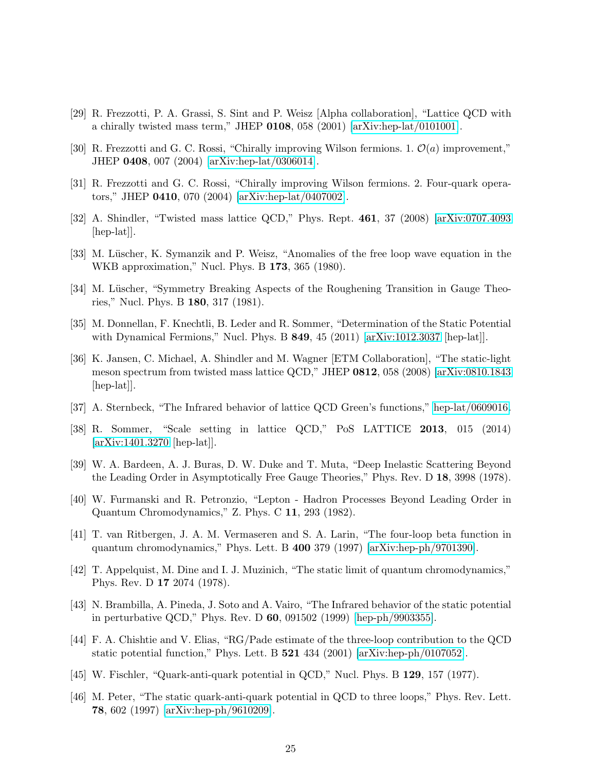- <span id="page-25-0"></span>[29] R. Frezzotti, P. A. Grassi, S. Sint and P. Weisz [Alpha collaboration], "Lattice QCD with a chirally twisted mass term," JHEP  $0108$ , 058 (2001) [\[arXiv:hep-lat/0101001\]](http://arxiv.org/abs/hep-lat/0101001).
- [30] R. Frezzotti and G. C. Rossi, "Chirally improving Wilson fermions. 1.  $\mathcal{O}(a)$  improvement," JHEP 0408, 007 (2004) [\[arXiv:hep-lat/0306014\]](http://arxiv.org/abs/hep-lat/0306014).
- <span id="page-25-1"></span>[31] R. Frezzotti and G. C. Rossi, "Chirally improving Wilson fermions. 2. Four-quark operators," JHEP 0410, 070 (2004) [\[arXiv:hep-lat/0407002\]](http://arxiv.org/abs/hep-lat/0407002).
- <span id="page-25-2"></span>[32] A. Shindler, "Twisted mass lattice QCD," Phys. Rept. 461, 37 (2008) [\[arXiv:0707.4093](http://arxiv.org/abs/0707.4093) [hep-lat].
- <span id="page-25-5"></span>[33] M. Lüscher, K. Symanzik and P. Weisz, "Anomalies of the free loop wave equation in the WKB approximation," Nucl. Phys. B 173, 365 (1980).
- <span id="page-25-3"></span>[34] M. Lüscher, "Symmetry Breaking Aspects of the Roughening Transition in Gauge Theories," Nucl. Phys. B 180, 317 (1981).
- <span id="page-25-4"></span>[35] M. Donnellan, F. Knechtli, B. Leder and R. Sommer, "Determination of the Static Potential with Dynamical Fermions," Nucl. Phys. B 849, 45 (2011) [\[arXiv:1012.3037](http://arxiv.org/abs/1012.3037) [hep-lat]].
- [36] K. Jansen, C. Michael, A. Shindler and M. Wagner [ETM Collaboration], "The static-light meson spectrum from twisted mass lattice QCD," JHEP 0812, 058 (2008) [\[arXiv:0810.1843](http://arxiv.org/abs/0810.1843) [hep-lat].
- <span id="page-25-7"></span><span id="page-25-6"></span>[37] A. Sternbeck, "The Infrared behavior of lattice QCD Green's functions," [hep-lat/0609016.](http://arxiv.org/abs/hep-lat/0609016)
- [38] R. Sommer, "Scale setting in lattice QCD," PoS LATTICE 2013, 015 (2014) [\[arXiv:1401.3270](http://arxiv.org/abs/1401.3270) [hep-lat]].
- <span id="page-25-9"></span><span id="page-25-8"></span>[39] W. A. Bardeen, A. J. Buras, D. W. Duke and T. Muta, "Deep Inelastic Scattering Beyond the Leading Order in Asymptotically Free Gauge Theories," Phys. Rev. D 18, 3998 (1978).
- <span id="page-25-10"></span>[40] W. Furmanski and R. Petronzio, "Lepton - Hadron Processes Beyond Leading Order in Quantum Chromodynamics," Z. Phys. C 11, 293 (1982).
- [41] T. van Ritbergen, J. A. M. Vermaseren and S. A. Larin, "The four-loop beta function in quantum chromodynamics," Phys. Lett. B 400 379 (1997) [\[arXiv:hep-ph/9701390\]](http://arxiv.org/abs/hep-ph/9701390).
- <span id="page-25-11"></span>[42] T. Appelquist, M. Dine and I. J. Muzinich, "The static limit of quantum chromodynamics," Phys. Rev. D 17 2074 (1978).
- <span id="page-25-12"></span>[43] N. Brambilla, A. Pineda, J. Soto and A. Vairo, "The Infrared behavior of the static potential in perturbative QCD," Phys. Rev. D 60, 091502 (1999) [\[hep-ph/9903355\]](http://arxiv.org/abs/hep-ph/9903355).
- <span id="page-25-13"></span>[44] F. A. Chishtie and V. Elias, "RG/Pade estimate of the three-loop contribution to the QCD static potential function," Phys. Lett. B 521 434 (2001) [\[arXiv:hep-ph/0107052\]](http://arxiv.org/abs/hep-ph/0107052).
- <span id="page-25-15"></span><span id="page-25-14"></span>[45] W. Fischler, "Quark-anti-quark potential in QCD," Nucl. Phys. B 129, 157 (1977).
- [46] M. Peter, "The static quark-anti-quark potential in QCD to three loops," Phys. Rev. Lett. 78, 602 (1997) [\[arXiv:hep-ph/9610209\]](http://arxiv.org/abs/hep-ph/9610209).